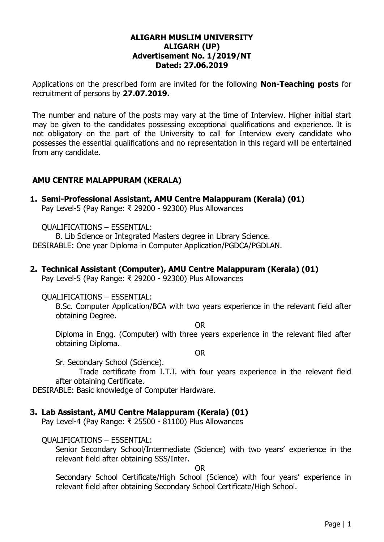#### **ALIGARH MUSLIM UNIVERSITY ALIGARH (UP) Advertisement No. 1/2019/NT Dated: 27.06.2019**

Applications on the prescribed form are invited for the following **Non-Teaching posts** for recruitment of persons by **27.07.2019.**

The number and nature of the posts may vary at the time of Interview. Higher initial start may be given to the candidates possessing exceptional qualifications and experience. It is not obligatory on the part of the University to call for Interview every candidate who possesses the essential qualifications and no representation in this regard will be entertained from any candidate.

## **AMU CENTRE MALAPPURAM (KERALA)**

## **1. Semi-Professional Assistant, AMU Centre Malappuram (Kerala) (01)**

Pay Level-5 (Pay Range: ₹ 29200 - 92300) Plus Allowances

QUALIFICATIONS – ESSENTIAL:

B. Lib Science or Integrated Masters degree in Library Science. DESIRABLE: One year Diploma in Computer Application/PGDCA/PGDLAN.

#### **2. Technical Assistant (Computer), AMU Centre Malappuram (Kerala) (01)**

Pay Level-5 (Pay Range: ₹ 29200 - 92300) Plus Allowances

#### QUALIFICATIONS – ESSENTIAL:

B.Sc. Computer Application/BCA with two years experience in the relevant field after obtaining Degree.

OR

Diploma in Engg. (Computer) with three years experience in the relevant filed after obtaining Diploma.

OR

Sr. Secondary School (Science).

Trade certificate from I.T.I. with four years experience in the relevant field after obtaining Certificate.

DESIRABLE: Basic knowledge of Computer Hardware.

#### **3. Lab Assistant, AMU Centre Malappuram (Kerala) (01)**

Pay Level-4 (Pay Range: ₹ 25500 - 81100) Plus Allowances

QUALIFICATIONS – ESSENTIAL:

Senior Secondary School/Intermediate (Science) with two years' experience in the relevant field after obtaining SSS/Inter.

OR

Secondary School Certificate/High School (Science) with four years' experience in relevant field after obtaining Secondary School Certificate/High School.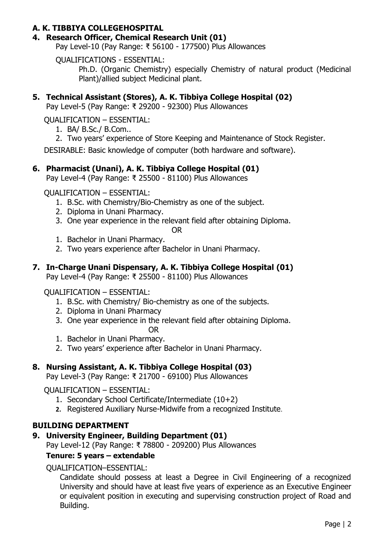## **A. K. TIBBIYA COLLEGEHOSPITAL**

#### **4. Research Officer, Chemical Research Unit (01)**

Pay Level-10 (Pay Range: ₹ 56100 - 177500) Plus Allowances

QUALIFICATIONS - ESSENTIAL:

Ph.D. (Organic Chemistry) especially Chemistry of natural product (Medicinal Plant)/allied subject Medicinal plant.

# **5. Technical Assistant (Stores), A. K. Tibbiya College Hospital (02)**

Pay Level-5 (Pay Range: ₹ 29200 - 92300) Plus Allowances

QUALIFICATION – ESSENTIAL:

- 1. BA/ B.Sc./ B.Com..
- 2. Two years' experience of Store Keeping and Maintenance of Stock Register.

DESIRABLE: Basic knowledge of computer (both hardware and software).

# **6. Pharmacist (Unani), A. K. Tibbiya College Hospital (01)**

Pay Level-4 (Pay Range: ₹ 25500 - 81100) Plus Allowances

QUALIFICATION – ESSENTIAL:

- 1. B.Sc. with Chemistry/Bio-Chemistry as one of the subject.
- 2. Diploma in Unani Pharmacy.
- 3. One year experience in the relevant field after obtaining Diploma.

#### OR

- 1. Bachelor in Unani Pharmacy.
- 2. Two years experience after Bachelor in Unani Pharmacy.

# **7. In-Charge Unani Dispensary, A. K. Tibbiya College Hospital (01)**

Pay Level-4 (Pay Range: ₹ 25500 - 81100) Plus Allowances

QUALIFICATION – ESSENTIAL:

- 1. B.Sc. with Chemistry/ Bio-chemistry as one of the subjects.
- 2. Diploma in Unani Pharmacy
- 3. One year experience in the relevant field after obtaining Diploma. OR
- 1. Bachelor in Unani Pharmacy.
- 2. Two years' experience after Bachelor in Unani Pharmacy.

## **8. Nursing Assistant, A. K. Tibbiya College Hospital (03)**

Pay Level-3 (Pay Range: ₹ 21700 - 69100) Plus Allowances

QUALIFICATION – ESSENTIAL:

- 1. Secondary School Certificate/Intermediate (10+2)
- **2.** Registered Auxiliary Nurse-Midwife from a recognized Institute.

## **BUILDING DEPARTMENT**

## **9. University Engineer, Building Department (01)**

Pay Level-12 (Pay Range: ₹ 78800 - 209200) Plus Allowances

## **Tenure: 5 years – extendable**

QUALIFICATION–ESSENTIAL:

Candidate should possess at least a Degree in Civil Engineering of a recognized University and should have at least five years of experience as an Executive Engineer or equivalent position in executing and supervising construction project of Road and Building.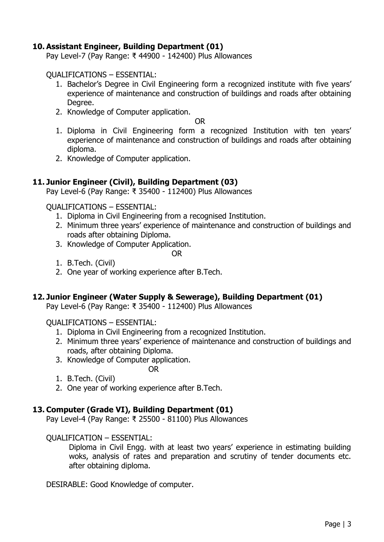## **10. Assistant Engineer, Building Department (01)**

Pay Level-7 (Pay Range: ₹ 44900 - 142400) Plus Allowances

QUALIFICATIONS – ESSENTIAL:

- 1. Bachelor's Degree in Civil Engineering form a recognized institute with five years' experience of maintenance and construction of buildings and roads after obtaining Degree.
- 2. Knowledge of Computer application.

OR

- 1. Diploma in Civil Engineering form a recognized Institution with ten years' experience of maintenance and construction of buildings and roads after obtaining diploma.
- 2. Knowledge of Computer application.

## **11. Junior Engineer (Civil), Building Department (03)**

Pay Level-6 (Pay Range: ₹ 35400 - 112400) Plus Allowances

QUALIFICATIONS – ESSENTIAL:

- 1. Diploma in Civil Engineering from a recognised Institution.
- 2. Minimum three years' experience of maintenance and construction of buildings and roads after obtaining Diploma.
- 3. Knowledge of Computer Application.

OR

- 1. B.Tech. (Civil)
- 2. One year of working experience after B.Tech.

## **12. Junior Engineer (Water Supply & Sewerage), Building Department (01)**

Pay Level-6 (Pay Range: ₹ 35400 - 112400) Plus Allowances

QUALIFICATIONS – ESSENTIAL:

1. Diploma in Civil Engineering from a recognized Institution.

OR

- 2. Minimum three years' experience of maintenance and construction of buildings and roads, after obtaining Diploma.
- 3. Knowledge of Computer application.
- 1. B.Tech. (Civil)
- 2. One year of working experience after B.Tech.

## **13. Computer (Grade VI), Building Department (01)**

Pay Level-4 (Pay Range: ₹ 25500 - 81100) Plus Allowances

#### QUALIFICATION – ESSENTIAL:

Diploma in Civil Engg. with at least two years' experience in estimating building woks, analysis of rates and preparation and scrutiny of tender documents etc. after obtaining diploma.

DESIRABLE: Good Knowledge of computer.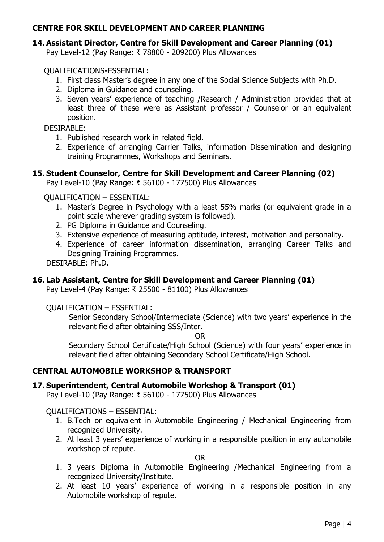# **CENTRE FOR SKILL DEVELOPMENT AND CAREER PLANNING**

## **14. Assistant Director, Centre for Skill Development and Career Planning (01)**

Pay Level-12 (Pay Range: ₹ 78800 - 209200) Plus Allowances

QUALIFICATIONS**-**ESSENTIAL**:** 

- 1. First class Master's degree in any one of the Social Science Subjects with Ph.D.
- 2. Diploma in Guidance and counseling.
- 3. Seven years' experience of teaching /Research / Administration provided that at least three of these were as Assistant professor / Counselor or an equivalent position.

DESIRABLE:

- 1. Published research work in related field.
- 2. Experience of arranging Carrier Talks, information Dissemination and designing training Programmes, Workshops and Seminars.

## **15. Student Counselor, Centre for Skill Development and Career Planning (02)**

Pay Level-10 (Pay Range: ₹ 56100 - 177500) Plus Allowances

QUALIFICATION – ESSENTIAL:

- 1. Master's Degree in Psychology with a least 55% marks (or equivalent grade in a point scale wherever grading system is followed).
- 2. PG Diploma in Guidance and Counseling.
- 3. Extensive experience of measuring aptitude, interest, motivation and personality.
- 4. Experience of career information dissemination, arranging Career Talks and Designing Training Programmes.

DESIRABLE: Ph.D.

## **16. Lab Assistant, Centre for Skill Development and Career Planning (01)**

Pay Level-4 (Pay Range: ₹ 25500 - 81100) Plus Allowances

#### QUALIFICATION – ESSENTIAL:

Senior Secondary School/Intermediate (Science) with two years' experience in the relevant field after obtaining SSS/Inter.

OR

Secondary School Certificate/High School (Science) with four years' experience in relevant field after obtaining Secondary School Certificate/High School.

## **CENTRAL AUTOMOBILE WORKSHOP & TRANSPORT**

## **17. Superintendent, Central Automobile Workshop & Transport (01)**

Pay Level-10 (Pay Range: ₹ 56100 - 177500) Plus Allowances

QUALIFICATIONS – ESSENTIAL:

- 1. B.Tech or equivalent in Automobile Engineering / Mechanical Engineering from recognized University.
- 2. At least 3 years' experience of working in a responsible position in any automobile workshop of repute.

OR

- 1. 3 years Diploma in Automobile Engineering /Mechanical Engineering from a recognized University/Institute.
- 2. At least 10 years' experience of working in a responsible position in any Automobile workshop of repute.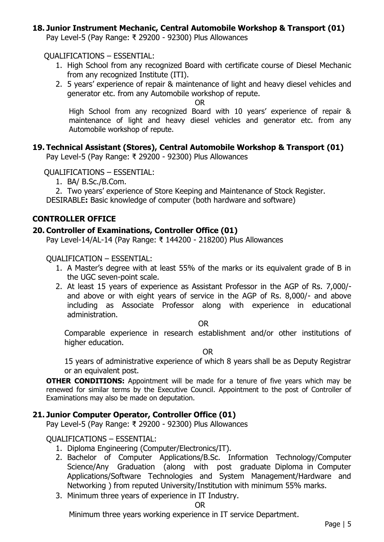## **18. Junior Instrument Mechanic, Central Automobile Workshop & Transport (01)**

Pay Level-5 (Pay Range: ₹ 29200 - 92300) Plus Allowances

#### QUALIFICATIONS – ESSENTIAL:

- 1. High School from any recognized Board with certificate course of Diesel Mechanic from any recognized Institute (ITI).
- 2. 5 years' experience of repair & maintenance of light and heavy diesel vehicles and generator etc. from any Automobile workshop of repute.

OR

High School from any recognized Board with 10 years' experience of repair & maintenance of light and heavy diesel vehicles and generator etc. from any Automobile workshop of repute.

#### **19. Technical Assistant (Stores), Central Automobile Workshop & Transport (01)**

Pay Level-5 (Pay Range: ₹ 29200 - 92300) Plus Allowances

QUALIFICATIONS – ESSENTIAL:

1. BA/ B.Sc./B.Com.

2. Two years' experience of Store Keeping and Maintenance of Stock Register.

DESIRABLE**:** Basic knowledge of computer (both hardware and software)

#### **CONTROLLER OFFICE**

#### **20. Controller of Examinations, Controller Office (01)**

Pay Level-14/AL-14 (Pay Range: ₹ 144200 - 218200) Plus Allowances

QUALIFICATION – ESSENTIAL:

- 1. A Master's degree with at least 55% of the marks or its equivalent grade of B in the UGC seven-point scale.
- 2. At least 15 years of experience as Assistant Professor in the AGP of Rs. 7,000/ and above or with eight years of service in the AGP of Rs. 8,000/- and above including as Associate Professor along with experience in educational administration.

OR

Comparable experience in research establishment and/or other institutions of higher education.

OR

15 years of administrative experience of which 8 years shall be as Deputy Registrar or an equivalent post.

**OTHER CONDITIONS:** Appointment will be made for a tenure of five years which may be renewed for similar terms by the Executive Council. Appointment to the post of Controller of Examinations may also be made on deputation.

#### **21. Junior Computer Operator, Controller Office (01)**

Pay Level-5 (Pay Range: ₹ 29200 - 92300) Plus Allowances

#### QUALIFICATIONS – ESSENTIAL:

- 1. Diploma Engineering (Computer/Electronics/IT).
- 2. Bachelor of Computer Applications/B.Sc. Information Technology/Computer Science/Any Graduation (along with post graduate Diploma in Computer Applications/Software Technologies and System Management/Hardware and Networking ) from reputed University/Institution with minimum 55% marks.
- 3. Minimum three years of experience in IT Industry.

#### OR

Minimum three years working experience in IT service Department.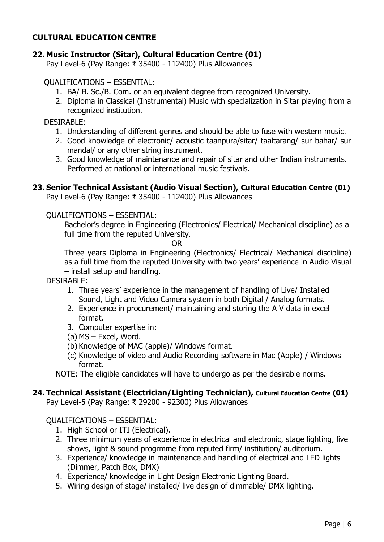# **CULTURAL EDUCATION CENTRE**

## **22. Music Instructor (Sitar), Cultural Education Centre (01)**

Pay Level-6 (Pay Range: ₹ 35400 - 112400) Plus Allowances

#### QUALIFICATIONS – ESSENTIAL:

- 1. BA/ B. Sc./B. Com. or an equivalent degree from recognized University.
- 2. Diploma in Classical (Instrumental) Music with specialization in Sitar playing from a recognized institution.

#### DESIRABLE:

- 1. Understanding of different genres and should be able to fuse with western music.
- 2. Good knowledge of electronic/ acoustic taanpura/sitar/ taaltarang/ sur bahar/ sur mandal/ or any other string instrument.
- 3. Good knowledge of maintenance and repair of sitar and other Indian instruments. Performed at national or international music festivals.

## **23. Senior Technical Assistant (Audio Visual Section), Cultural Education Centre (01)**

Pay Level-6 (Pay Range: ₹ 35400 - 112400) Plus Allowances

#### QUALIFICATIONS – ESSENTIAL:

Bachelor's degree in Engineering (Electronics/ Electrical/ Mechanical discipline) as a full time from the reputed University.

OR

Three years Diploma in Engineering (Electronics/ Electrical/ Mechanical discipline) as a full time from the reputed University with two years' experience in Audio Visual – install setup and handling.

DESIRABLE:

- 1. Three years' experience in the management of handling of Live/ Installed Sound, Light and Video Camera system in both Digital / Analog formats.
- 2. Experience in procurement/ maintaining and storing the A V data in excel format.
- 3. Computer expertise in:
- (a) MS Excel, Word.
- (b) Knowledge of MAC (apple)/ Windows format.
- (c) Knowledge of video and Audio Recording software in Mac (Apple) / Windows format.
- NOTE: The eligible candidates will have to undergo as per the desirable norms.

# **24. Technical Assistant (Electrician/Lighting Technician), Cultural Education Centre (01)**

Pay Level-5 (Pay Range: ₹ 29200 - 92300) Plus Allowances

## QUALIFICATIONS – ESSENTIAL:

- 1. High School or ITI (Electrical).
- 2. Three minimum years of experience in electrical and electronic, stage lighting, live shows, light & sound progrmme from reputed firm/ institution/ auditorium.
- 3. Experience/ knowledge in maintenance and handling of electrical and LED lights (Dimmer, Patch Box, DMX)
- 4. Experience/ knowledge in Light Design Electronic Lighting Board.
- 5. Wiring design of stage/ installed/ live design of dimmable/ DMX lighting.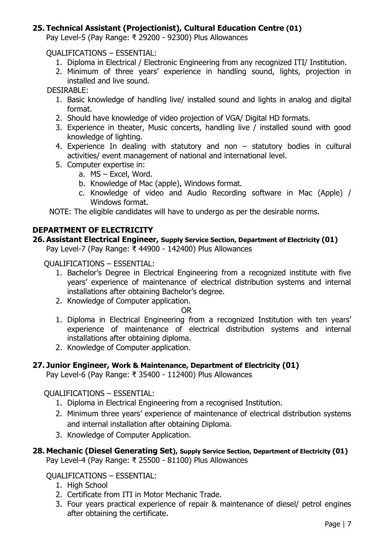# **25. Technical Assistant (Projectionist), Cultural Education Centre (01)**

Pay Level-5 (Pay Range: ₹ 29200 - 92300) Plus Allowances

QUALIFICATIONS – ESSENTIAL:

- 1. Diploma in Electrical / Electronic Engineering from any recognized ITI/ Institution.
- 2. Minimum of three years' experience in handling sound, lights, projection in installed and live sound.

DESIRABLE:

- 1. Basic knowledge of handling live/ installed sound and lights in analog and digital format.
- 2. Should have knowledge of video projection of VGA/ Digital HD formats.
- 3. Experience in theater, Music concerts, handling live / installed sound with good knowledge of lighting.
- 4. Experience In dealing with statutory and non statutory bodies in cultural activities/ event management of national and international level.
- 5. Computer expertise in:
	- a. MS Excel, Word.
	- b. Knowledge of Mac (apple), Windows format.
	- c. Knowledge of video and Audio Recording software in Mac (Apple) / Windows format.

NOTE: The eligible candidates will have to undergo as per the desirable norms.

## **DEPARTMENT OF ELECTRICITY**

# **26. Assistant Electrical Engineer, Supply Service Section, Department of Electricity (01)**

Pay Level-7 (Pay Range: ₹ 44900 - 142400) Plus Allowances

QUALIFICATIONS – ESSENTIAL:

- 1. Bachelor's Degree in Electrical Engineering from a recognized institute with five years' experience of maintenance of electrical distribution systems and internal installations after obtaining Bachelor's degree.
- 2. Knowledge of Computer application.

#### OR

- 1. Diploma in Electrical Engineering from a recognized Institution with ten years' experience of maintenance of electrical distribution systems and internal installations after obtaining diploma.
- 2. Knowledge of Computer application.

## **27. Junior Engineer, Work & Maintenance, Department of Electricity (01)**

Pay Level-6 (Pay Range: ₹ 35400 - 112400) Plus Allowances

QUALIFICATIONS – ESSENTIAL:

- 1. Diploma in Electrical Engineering from a recognised Institution.
- 2. Minimum three years' experience of maintenance of electrical distribution systems and internal installation after obtaining Diploma.
- 3. Knowledge of Computer Application.

#### **28. Mechanic (Diesel Generating Set), Supply Service Section, Department of Electricity (01)** Pay Level-4 (Pay Range: ₹ 25500 - 81100) Plus Allowances

QUALIFICATIONS – ESSENTIAL:

- 1. High School
- 2. Certificate from ITI in Motor Mechanic Trade.
- 3. Four years practical experience of repair & maintenance of diesel/ petrol engines after obtaining the certificate.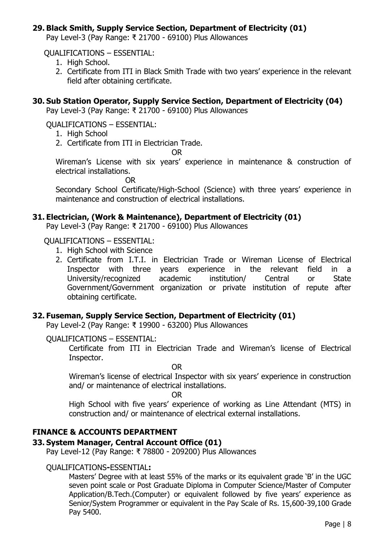## **29. Black Smith, Supply Service Section, Department of Electricity (01)**

Pay Level-3 (Pay Range: ₹ 21700 - 69100) Plus Allowances

QUALIFICATIONS – ESSENTIAL:

- 1. High School.
- 2. Certificate from ITI in Black Smith Trade with two years' experience in the relevant field after obtaining certificate.

#### **30. Sub Station Operator, Supply Service Section, Department of Electricity (04)**

Pay Level-3 (Pay Range: ₹ 21700 - 69100) Plus Allowances

QUALIFICATIONS – ESSENTIAL:

- 1. High School
- 2. Certificate from ITI in Electrician Trade.

OR

Wireman's License with six years' experience in maintenance & construction of electrical installations.

OR

Secondary School Certificate/High-School (Science) with three years' experience in maintenance and construction of electrical installations.

#### **31. Electrician, (Work & Maintenance), Department of Electricity (01)**

Pay Level-3 (Pay Range: ₹ 21700 - 69100) Plus Allowances

#### QUALIFICATIONS – ESSENTIAL:

- 1. High School with Science
- 2. Certificate from I.T.I. in Electrician Trade or Wireman License of Electrical Inspector with three years experience in the relevant field in a University/recognized academic institution/ Central or State Government/Government organization or private institution of repute after obtaining certificate.

#### **32. Fuseman, Supply Service Section, Department of Electricity (01)**

Pay Level-2 (Pay Range: ₹ 19900 - 63200) Plus Allowances

#### QUALIFICATIONS – ESSENTIAL:

Certificate from ITI in Electrician Trade and Wireman's license of Electrical Inspector.

OR

Wireman's license of electrical Inspector with six years' experience in construction and/ or maintenance of electrical installations.

OR

High School with five years' experience of working as Line Attendant (MTS) in construction and/ or maintenance of electrical external installations.

## **FINANCE & ACCOUNTS DEPARTMENT**

#### **33. System Manager, Central Account Office (01)**

Pay Level-12 (Pay Range: ₹ 78800 - 209200) Plus Allowances

#### QUALIFICATIONS**-**ESSENTIAL**:**

Masters' Degree with at least 55% of the marks or its equivalent grade 'B' in the UGC seven point scale or Post Graduate Diploma in Computer Science/Master of Computer Application/B.Tech.(Computer) or equivalent followed by five years' experience as Senior/System Programmer or equivalent in the Pay Scale of Rs. 15,600-39,100 Grade Pay 5400.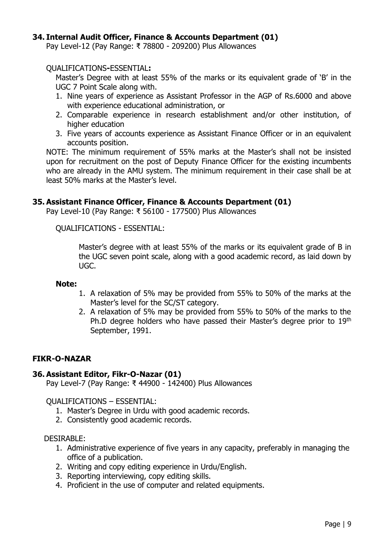## **34. Internal Audit Officer, Finance & Accounts Department (01)**

Pay Level-12 (Pay Range: ₹ 78800 - 209200) Plus Allowances

#### QUALIFICATIONS**-**ESSENTIAL**:**

Master's Degree with at least 55% of the marks or its equivalent grade of 'B' in the UGC 7 Point Scale along with.

- 1. Nine years of experience as Assistant Professor in the AGP of Rs.6000 and above with experience educational administration, or
- 2. Comparable experience in research establishment and/or other institution, of higher education
- 3. Five years of accounts experience as Assistant Finance Officer or in an equivalent accounts position.

NOTE: The minimum requirement of 55% marks at the Master's shall not be insisted upon for recruitment on the post of Deputy Finance Officer for the existing incumbents who are already in the AMU system. The minimum requirement in their case shall be at least 50% marks at the Master's level.

## **35. Assistant Finance Officer, Finance & Accounts Department (01)**

Pay Level-10 (Pay Range: ₹ 56100 - 177500) Plus Allowances

QUALIFICATIONS - ESSENTIAL:

Master's degree with at least 55% of the marks or its equivalent grade of B in the UGC seven point scale, along with a good academic record, as laid down by UGC.

#### **Note:**

- 1. A relaxation of 5% may be provided from 55% to 50% of the marks at the Master's level for the SC/ST category.
- 2. A relaxation of 5% may be provided from 55% to 50% of the marks to the Ph.D degree holders who have passed their Master's degree prior to 19th September, 1991.

## **FIKR-O-NAZAR**

#### **36. Assistant Editor, Fikr-O-Nazar (01)**

Pay Level-7 (Pay Range: ₹ 44900 - 142400) Plus Allowances

QUALIFICATIONS – ESSENTIAL:

- 1. Master's Degree in Urdu with good academic records.
- 2. Consistently good academic records.

#### DESIRABLE:

- 1. Administrative experience of five years in any capacity, preferably in managing the office of a publication.
- 2. Writing and copy editing experience in Urdu/English.
- 3. Reporting interviewing, copy editing skills.
- 4. Proficient in the use of computer and related equipments.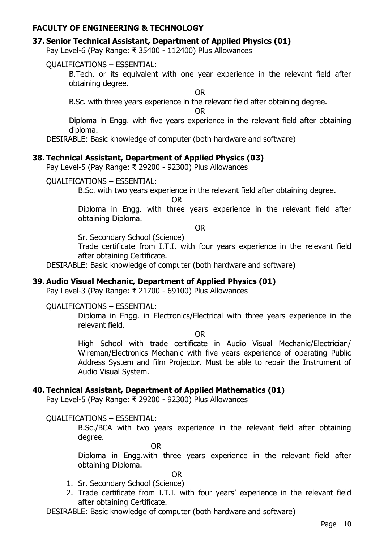## **FACULTY OF ENGINEERING & TECHNOLOGY**

#### **37. Senior Technical Assistant, Department of Applied Physics (01)**

Pay Level-6 (Pay Range: ₹ 35400 - 112400) Plus Allowances

#### QUALIFICATIONS – ESSENTIAL:

B.Tech. or its equivalent with one year experience in the relevant field after obtaining degree.

OR

B.Sc. with three years experience in the relevant field after obtaining degree.

OR

Diploma in Engg. with five years experience in the relevant field after obtaining diploma.

DESIRABLE: Basic knowledge of computer (both hardware and software)

#### **38. Technical Assistant, Department of Applied Physics (03)**

Pay Level-5 (Pay Range: ₹ 29200 - 92300) Plus Allowances

## QUALIFICATIONS – ESSENTIAL:

B.Sc. with two years experience in the relevant field after obtaining degree.

OR

Diploma in Engg. with three years experience in the relevant field after obtaining Diploma.

OR

Sr. Secondary School (Science)

Trade certificate from I.T.I. with four years experience in the relevant field after obtaining Certificate.

DESIRABLE: Basic knowledge of computer (both hardware and software)

## **39. Audio Visual Mechanic, Department of Applied Physics (01)**

Pay Level-3 (Pay Range: ₹ 21700 - 69100) Plus Allowances

#### QUALIFICATIONS – ESSENTIAL:

Diploma in Engg. in Electronics/Electrical with three years experience in the relevant field.

OR

High School with trade certificate in Audio Visual Mechanic/Electrician/ Wireman/Electronics Mechanic with five years experience of operating Public Address System and film Projector. Must be able to repair the Instrument of Audio Visual System.

## **40. Technical Assistant, Department of Applied Mathematics (01)**

Pay Level-5 (Pay Range: ₹ 29200 - 92300) Plus Allowances

#### QUALIFICATIONS – ESSENTIAL:

B.Sc./BCA with two years experience in the relevant field after obtaining degree.

OR

Diploma in Engg.with three years experience in the relevant field after obtaining Diploma.

- 1. Sr. Secondary School (Science)
- 2. Trade certificate from I.T.I. with four years' experience in the relevant field after obtaining Certificate.

DESIRABLE: Basic knowledge of computer (both hardware and software)

OR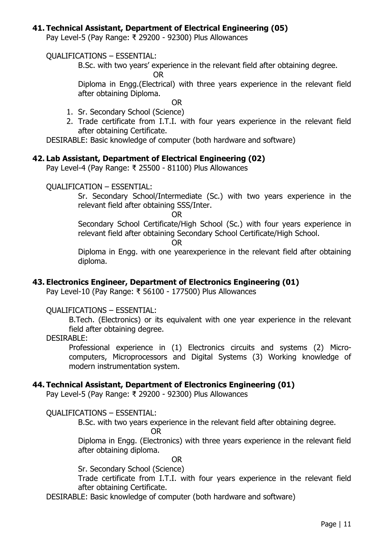## **41. Technical Assistant, Department of Electrical Engineering (05)**

Pay Level-5 (Pay Range: ₹ 29200 - 92300) Plus Allowances

#### QUALIFICATIONS – ESSENTIAL:

B.Sc. with two years' experience in the relevant field after obtaining degree.

OR

Diploma in Engg.(Electrical) with three years experience in the relevant field after obtaining Diploma.

OR

- 1. Sr. Secondary School (Science)
- 2. Trade certificate from I.T.I. with four years experience in the relevant field after obtaining Certificate.

DESIRABLE: Basic knowledge of computer (both hardware and software)

#### **42. Lab Assistant, Department of Electrical Engineering (02)**

Pay Level-4 (Pay Range: ₹ 25500 - 81100) Plus Allowances

#### QUALIFICATION – ESSENTIAL:

Sr. Secondary School/Intermediate (Sc.) with two years experience in the relevant field after obtaining SSS/Inter.

OR

Secondary School Certificate/High School (Sc.) with four years experience in relevant field after obtaining Secondary School Certificate/High School.

OR

Diploma in Engg. with one yearexperience in the relevant field after obtaining diploma.

#### **43. Electronics Engineer, Department of Electronics Engineering (01)**

Pay Level-10 (Pay Range: ₹ 56100 - 177500) Plus Allowances

#### QUALIFICATIONS – ESSENTIAL:

B.Tech. (Electronics) or its equivalent with one year experience in the relevant field after obtaining degree.

#### DESIRABLE:

Professional experience in (1) Electronics circuits and systems (2) Microcomputers, Microprocessors and Digital Systems (3) Working knowledge of modern instrumentation system.

#### **44. Technical Assistant, Department of Electronics Engineering (01)**

Pay Level-5 (Pay Range: ₹ 29200 - 92300) Plus Allowances

QUALIFICATIONS – ESSENTIAL:

B.Sc. with two years experience in the relevant field after obtaining degree.

OR

Diploma in Engg. (Electronics) with three years experience in the relevant field after obtaining diploma.

OR

Sr. Secondary School (Science)

Trade certificate from I.T.I. with four years experience in the relevant field after obtaining Certificate.

DESIRABLE: Basic knowledge of computer (both hardware and software)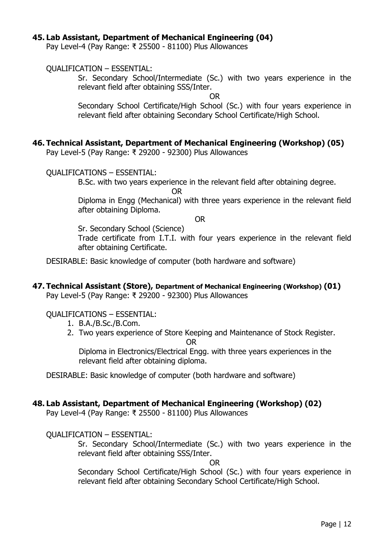#### **45. Lab Assistant, Department of Mechanical Engineering (04)**

Pay Level-4 (Pay Range: ₹ 25500 - 81100) Plus Allowances

QUALIFICATION – ESSENTIAL:

Sr. Secondary School/Intermediate (Sc.) with two years experience in the relevant field after obtaining SSS/Inter.

OR

Secondary School Certificate/High School (Sc.) with four years experience in relevant field after obtaining Secondary School Certificate/High School.

## **46. Technical Assistant, Department of Mechanical Engineering (Workshop) (05)**

Pay Level-5 (Pay Range: ₹ 29200 - 92300) Plus Allowances

QUALIFICATIONS – ESSENTIAL:

B.Sc. with two years experience in the relevant field after obtaining degree.

OR

Diploma in Engg (Mechanical) with three years experience in the relevant field after obtaining Diploma.

OR

Sr. Secondary School (Science)

Trade certificate from I.T.I. with four years experience in the relevant field after obtaining Certificate.

DESIRABLE: Basic knowledge of computer (both hardware and software)

**47. Technical Assistant (Store), Department of Mechanical Engineering (Workshop) (01)**

Pay Level-5 (Pay Range: ₹ 29200 - 92300) Plus Allowances

QUALIFICATIONS – ESSENTIAL:

- 1. B.A./B.Sc./B.Com.
- 2. Two years experience of Store Keeping and Maintenance of Stock Register.

OR

Diploma in Electronics/Electrical Engg. with three years experiences in the relevant field after obtaining diploma.

DESIRABLE: Basic knowledge of computer (both hardware and software)

## **48. Lab Assistant, Department of Mechanical Engineering (Workshop) (02)**

Pay Level-4 (Pay Range: ₹ 25500 - 81100) Plus Allowances

QUALIFICATION – ESSENTIAL:

Sr. Secondary School/Intermediate (Sc.) with two years experience in the relevant field after obtaining SSS/Inter.

OR

Secondary School Certificate/High School (Sc.) with four years experience in relevant field after obtaining Secondary School Certificate/High School.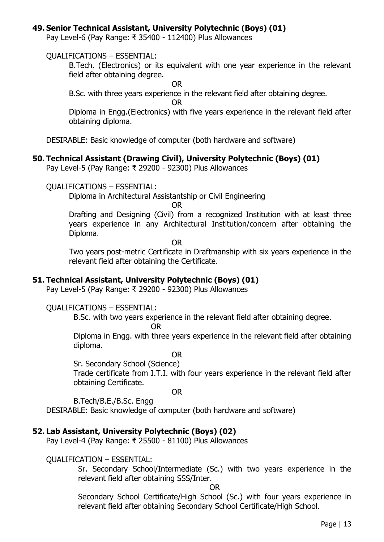#### **49. Senior Technical Assistant, University Polytechnic (Boys) (01)**

Pay Level-6 (Pay Range: ₹ 35400 - 112400) Plus Allowances

#### QUALIFICATIONS – ESSENTIAL:

B.Tech. (Electronics) or its equivalent with one year experience in the relevant field after obtaining degree.

OR

B.Sc. with three years experience in the relevant field after obtaining degree.

OR

Diploma in Engg.(Electronics) with five years experience in the relevant field after obtaining diploma.

DESIRABLE: Basic knowledge of computer (both hardware and software)

#### **50. Technical Assistant (Drawing Civil), University Polytechnic (Boys) (01)**

Pay Level-5 (Pay Range: ₹ 29200 - 92300) Plus Allowances

#### QUALIFICATIONS – ESSENTIAL:

Diploma in Architectural Assistantship or Civil Engineering

OR

Drafting and Designing (Civil) from a recognized Institution with at least three years experience in any Architectural Institution/concern after obtaining the Diploma.

OR

Two years post-metric Certificate in Draftmanship with six years experience in the relevant field after obtaining the Certificate.

#### **51. Technical Assistant, University Polytechnic (Boys) (01)**

Pay Level-5 (Pay Range: ₹ 29200 - 92300) Plus Allowances

#### QUALIFICATIONS – ESSENTIAL:

B.Sc. with two years experience in the relevant field after obtaining degree.

OR

Diploma in Engg. with three years experience in the relevant field after obtaining diploma.

OR

Sr. Secondary School (Science)

Trade certificate from I.T.I. with four years experience in the relevant field after obtaining Certificate.

OR

B.Tech/B.E./B.Sc. Engg

DESIRABLE: Basic knowledge of computer (both hardware and software)

## **52. Lab Assistant, University Polytechnic (Boys) (02)**

Pay Level-4 (Pay Range: ₹ 25500 - 81100) Plus Allowances

#### QUALIFICATION – ESSENTIAL:

Sr. Secondary School/Intermediate (Sc.) with two years experience in the relevant field after obtaining SSS/Inter.

OR

Secondary School Certificate/High School (Sc.) with four years experience in relevant field after obtaining Secondary School Certificate/High School.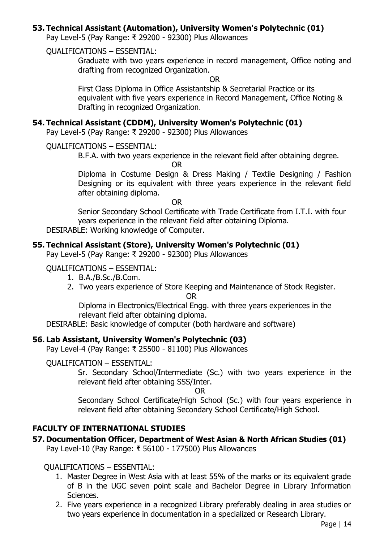## **53. Technical Assistant (Automation), University Women's Polytechnic (01)**

Pay Level-5 (Pay Range: ₹ 29200 - 92300) Plus Allowances

QUALIFICATIONS – ESSENTIAL:

Graduate with two years experience in record management, Office noting and drafting from recognized Organization.

OR

First Class Diploma in Office Assistantship & Secretarial Practice or its equivalent with five years experience in Record Management, Office Noting & Drafting in recognized Organization.

#### **54. Technical Assistant (CDDM), University Women's Polytechnic (01)**

Pay Level-5 (Pay Range: ₹ 29200 - 92300) Plus Allowances

QUALIFICATIONS – ESSENTIAL:

B.F.A. with two years experience in the relevant field after obtaining degree.

OR

Diploma in Costume Design & Dress Making / Textile Designing / Fashion Designing or its equivalent with three years experience in the relevant field after obtaining diploma.

OR

Senior Secondary School Certificate with Trade Certificate from I.T.I. with four years experience in the relevant field after obtaining Diploma.

DESIRABLE: Working knowledge of Computer.

## **55. Technical Assistant (Store), University Women's Polytechnic (01)**

Pay Level-5 (Pay Range: ₹ 29200 - 92300) Plus Allowances

#### QUALIFICATIONS – ESSENTIAL:

- 1. B.A./B.Sc./B.Com.
- 2. Two years experience of Store Keeping and Maintenance of Stock Register.

OR

Diploma in Electronics/Electrical Engg. with three years experiences in the relevant field after obtaining diploma.

DESIRABLE: Basic knowledge of computer (both hardware and software)

## **56. Lab Assistant, University Women's Polytechnic (03)**

Pay Level-4 (Pay Range: ₹ 25500 - 81100) Plus Allowances

#### QUALIFICATION – ESSENTIAL:

Sr. Secondary School/Intermediate (Sc.) with two years experience in the relevant field after obtaining SSS/Inter.

OR

Secondary School Certificate/High School (Sc.) with four years experience in relevant field after obtaining Secondary School Certificate/High School.

# **FACULTY OF INTERNATIONAL STUDIES**

**57. Documentation Officer, Department of West Asian & North African Studies (01)**

Pay Level-10 (Pay Range: ₹ 56100 - 177500) Plus Allowances

## QUALIFICATIONS – ESSENTIAL:

- 1. Master Degree in West Asia with at least 55% of the marks or its equivalent grade of B in the UGC seven point scale and Bachelor Degree in Library Information Sciences.
- 2. Five years experience in a recognized Library preferably dealing in area studies or two years experience in documentation in a specialized or Research Library.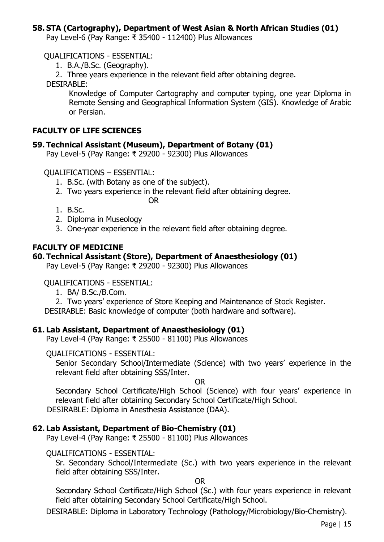## **58. STA (Cartography), Department of West Asian & North African Studies (01)**

Pay Level-6 (Pay Range: ₹ 35400 - 112400) Plus Allowances

QUALIFICATIONS - ESSENTIAL:

1. B.A./B.Sc. (Geography).

2. Three years experience in the relevant field after obtaining degree.

DESIRABLE:

Knowledge of Computer Cartography and computer typing, one year Diploma in Remote Sensing and Geographical Information System (GIS). Knowledge of Arabic or Persian.

#### **FACULTY OF LIFE SCIENCES**

#### **59. Technical Assistant (Museum), Department of Botany (01)**

Pay Level-5 (Pay Range: ₹ 29200 - 92300) Plus Allowances

QUALIFICATIONS – ESSENTIAL:

- 1. B.Sc. (with Botany as one of the subject).
- 2. Two years experience in the relevant field after obtaining degree.
	- OR
- 1. B.Sc.
- 2. Diploma in Museology
- 3. One-year experience in the relevant field after obtaining degree.

#### **FACULTY OF MEDICINE**

#### **60. Technical Assistant (Store), Department of Anaesthesiology (01)**

Pay Level-5 (Pay Range: ₹ 29200 - 92300) Plus Allowances

QUALIFICATIONS - ESSENTIAL:

1. BA/ B.Sc./B.Com.

2. Two years' experience of Store Keeping and Maintenance of Stock Register.

DESIRABLE: Basic knowledge of computer (both hardware and software).

#### **61. Lab Assistant, Department of Anaesthesiology (01)**

Pay Level-4 (Pay Range: ₹ 25500 - 81100) Plus Allowances

#### QUALIFICATIONS - ESSENTIAL:

Senior Secondary School/Intermediate (Science) with two years' experience in the relevant field after obtaining SSS/Inter.

OR

Secondary School Certificate/High School (Science) with four years' experience in relevant field after obtaining Secondary School Certificate/High School. DESIRABLE: Diploma in Anesthesia Assistance (DAA).

#### **62. Lab Assistant, Department of Bio-Chemistry (01)**

Pay Level-4 (Pay Range: ₹ 25500 - 81100) Plus Allowances

#### QUALIFICATIONS - ESSENTIAL:

Sr. Secondary School/Intermediate (Sc.) with two years experience in the relevant field after obtaining SSS/Inter.

OR

Secondary School Certificate/High School (Sc.) with four years experience in relevant field after obtaining Secondary School Certificate/High School.

DESIRABLE: Diploma in Laboratory Technology (Pathology/Microbiology/Bio-Chemistry).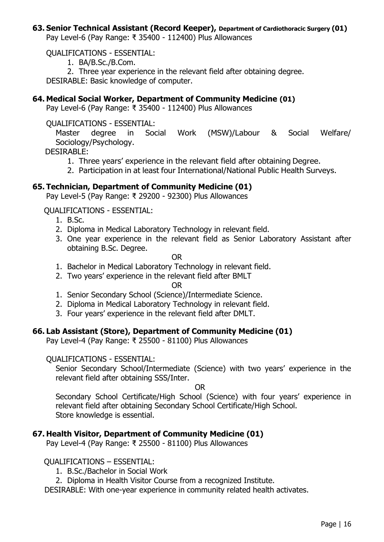# **63. Senior Technical Assistant (Record Keeper), Department of Cardiothoracic Surgery (01)**

Pay Level-6 (Pay Range: ₹ 35400 - 112400) Plus Allowances

QUALIFICATIONS - ESSENTIAL:

1. BA/B.Sc./B.Com.

2. Three year experience in the relevant field after obtaining degree. DESIRABLE: Basic knowledge of computer.

## **64. Medical Social Worker, Department of Community Medicine (01)**

Pay Level-6 (Pay Range: ₹ 35400 - 112400) Plus Allowances

QUALIFICATIONS - ESSENTIAL:

Master degree in Social Work (MSW)/Labour & Social Welfare/ Sociology/Psychology.

DESIRABLE:

- 1. Three years' experience in the relevant field after obtaining Degree.
- 2. Participation in at least four International/National Public Health Surveys.

## **65. Technician, Department of Community Medicine (01)**

Pay Level-5 (Pay Range: ₹ 29200 - 92300) Plus Allowances

QUALIFICATIONS - ESSENTIAL:

- 1. B.Sc.
- 2. Diploma in Medical Laboratory Technology in relevant field.
- 3. One year experience in the relevant field as Senior Laboratory Assistant after obtaining B.Sc. Degree.

OR

- 1. Bachelor in Medical Laboratory Technology in relevant field.
- 2. Two years' experience in the relevant field after BMLT

OR

- 1. Senior Secondary School (Science)/Intermediate Science.
- 2. Diploma in Medical Laboratory Technology in relevant field.
- 3. Four years' experience in the relevant field after DMLT.

#### **66. Lab Assistant (Store), Department of Community Medicine (01)**

Pay Level-4 (Pay Range: ₹ 25500 - 81100) Plus Allowances

#### QUALIFICATIONS - ESSENTIAL:

Senior Secondary School/Intermediate (Science) with two years' experience in the relevant field after obtaining SSS/Inter.

OR

Secondary School Certificate/High School (Science) with four years' experience in relevant field after obtaining Secondary School Certificate/High School. Store knowledge is essential.

## **67. Health Visitor, Department of Community Medicine (01)**

Pay Level-4 (Pay Range: ₹ 25500 - 81100) Plus Allowances

## QUALIFICATIONS – ESSENTIAL:

1. B.Sc./Bachelor in Social Work

2. Diploma in Health Visitor Course from a recognized Institute.

DESIRABLE: With one-year experience in community related health activates.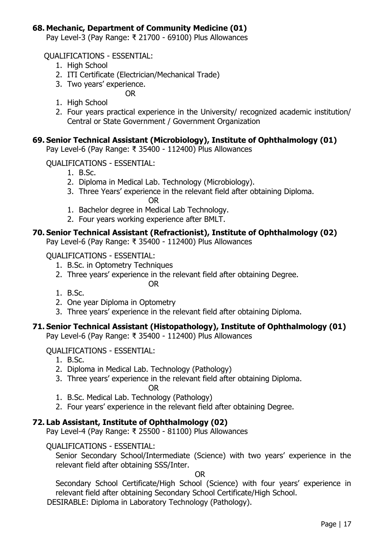# **68. Mechanic, Department of Community Medicine (01)**

Pay Level-3 (Pay Range: ₹ 21700 - 69100) Plus Allowances

QUALIFICATIONS - ESSENTIAL:

- 1. High School
- 2. ITI Certificate (Electrician/Mechanical Trade)
- 3. Two years' experience.
	- OR
- 1. High School
- 2. Four years practical experience in the University/ recognized academic institution/ Central or State Government / Government Organization

#### **69. Senior Technical Assistant (Microbiology), Institute of Ophthalmology (01)**

Pay Level-6 (Pay Range: ₹ 35400 - 112400) Plus Allowances

#### QUALIFICATIONS - ESSENTIAL:

- 1. B.Sc.
- 2. Diploma in Medical Lab. Technology (Microbiology).
- 3. Three Years' experience in the relevant field after obtaining Diploma.

OR

- 1. Bachelor degree in Medical Lab Technology.
- 2. Four years working experience after BMLT.

## **70. Senior Technical Assistant (Refractionist), Institute of Ophthalmology (02)**

Pay Level-6 (Pay Range: ₹ 35400 - 112400) Plus Allowances

#### QUALIFICATIONS - ESSENTIAL:

- 1. B.Sc. in Optometry Techniques
- 2. Three years' experience in the relevant field after obtaining Degree.

OR

- 1. B.Sc.
- 2. One year Diploma in Optometry
- 3. Three years' experience in the relevant field after obtaining Diploma.

## **71. Senior Technical Assistant (Histopathology), Institute of Ophthalmology (01)**

Pay Level-6 (Pay Range: ₹ 35400 - 112400) Plus Allowances

QUALIFICATIONS - ESSENTIAL:

- 1. B.Sc.
- 2. Diploma in Medical Lab. Technology (Pathology)
- 3. Three years' experience in the relevant field after obtaining Diploma.

OR

- 1. B.Sc. Medical Lab. Technology (Pathology)
- 2. Four years' experience in the relevant field after obtaining Degree.

## **72. Lab Assistant, Institute of Ophthalmology (02)**

Pay Level-4 (Pay Range: ₹ 25500 - 81100) Plus Allowances

#### QUALIFICATIONS - ESSENTIAL:

Senior Secondary School/Intermediate (Science) with two years' experience in the relevant field after obtaining SSS/Inter.

OR

Secondary School Certificate/High School (Science) with four years' experience in relevant field after obtaining Secondary School Certificate/High School.

DESIRABLE: Diploma in Laboratory Technology (Pathology).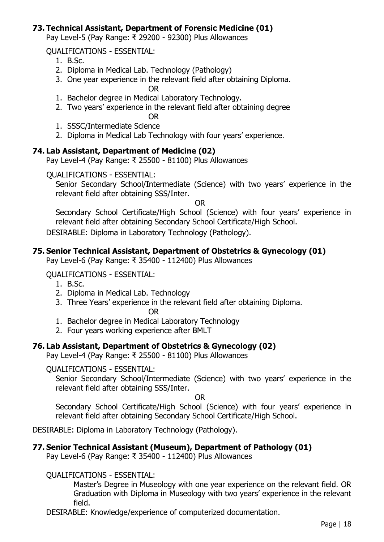## **73. Technical Assistant, Department of Forensic Medicine (01)**

Pay Level-5 (Pay Range: ₹ 29200 - 92300) Plus Allowances

QUALIFICATIONS - ESSENTIAL:

- 1. B.Sc.
- 2. Diploma in Medical Lab. Technology (Pathology)
- 3. One year experience in the relevant field after obtaining Diploma.

OR

- 1. Bachelor degree in Medical Laboratory Technology.
- 2. Two years' experience in the relevant field after obtaining degree

OR

- 1. SSSC/Intermediate Science
- 2. Diploma in Medical Lab Technology with four years' experience.

## **74. Lab Assistant, Department of Medicine (02)**

Pay Level-4 (Pay Range: ₹ 25500 - 81100) Plus Allowances

QUALIFICATIONS - ESSENTIAL:

Senior Secondary School/Intermediate (Science) with two years' experience in the relevant field after obtaining SSS/Inter.

OR

Secondary School Certificate/High School (Science) with four years' experience in relevant field after obtaining Secondary School Certificate/High School.

DESIRABLE: Diploma in Laboratory Technology (Pathology).

## **75. Senior Technical Assistant, Department of Obstetrics & Gynecology (01)**

Pay Level-6 (Pay Range: ₹ 35400 - 112400) Plus Allowances

## QUALIFICATIONS - ESSENTIAL:

- 1. B.Sc.
- 2. Diploma in Medical Lab. Technology
- 3. Three Years' experience in the relevant field after obtaining Diploma.

OR

- 1. Bachelor degree in Medical Laboratory Technology
- 2. Four years working experience after BMLT

# **76. Lab Assistant, Department of Obstetrics & Gynecology (02)**

Pay Level-4 (Pay Range: ₹ 25500 - 81100) Plus Allowances

## QUALIFICATIONS - ESSENTIAL:

Senior Secondary School/Intermediate (Science) with two years' experience in the relevant field after obtaining SSS/Inter.

OR

Secondary School Certificate/High School (Science) with four years' experience in relevant field after obtaining Secondary School Certificate/High School.

DESIRABLE: Diploma in Laboratory Technology (Pathology).

# **77. Senior Technical Assistant (Museum), Department of Pathology (01)**

Pay Level-6 (Pay Range: ₹ 35400 - 112400) Plus Allowances

# QUALIFICATIONS - ESSENTIAL:

Master's Degree in Museology with one year experience on the relevant field. OR Graduation with Diploma in Museology with two years' experience in the relevant field.

DESIRABLE: Knowledge/experience of computerized documentation.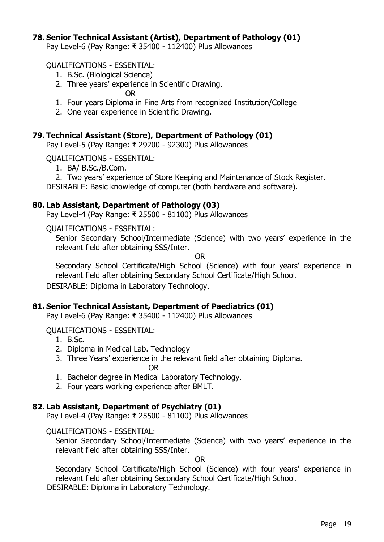#### **78. Senior Technical Assistant (Artist), Department of Pathology (01)**

Pay Level-6 (Pay Range: ₹ 35400 - 112400) Plus Allowances

QUALIFICATIONS - ESSENTIAL:

- 1. B.Sc. (Biological Science)
- 2. Three years' experience in Scientific Drawing.

OR

- 1. Four years Diploma in Fine Arts from recognized Institution/College
- 2. One year experience in Scientific Drawing.

#### **79. Technical Assistant (Store), Department of Pathology (01)**

Pay Level-5 (Pay Range: ₹ 29200 - 92300) Plus Allowances

QUALIFICATIONS - ESSENTIAL:

- 1. BA/ B.Sc./B.Com.
- 2. Two years' experience of Store Keeping and Maintenance of Stock Register.

DESIRABLE: Basic knowledge of computer (both hardware and software).

#### **80. Lab Assistant, Department of Pathology (03)**

Pay Level-4 (Pay Range: ₹ 25500 - 81100) Plus Allowances

QUALIFICATIONS - ESSENTIAL:

Senior Secondary School/Intermediate (Science) with two years' experience in the relevant field after obtaining SSS/Inter.

OR

Secondary School Certificate/High School (Science) with four years' experience in relevant field after obtaining Secondary School Certificate/High School.

DESIRABLE: Diploma in Laboratory Technology.

#### **81. Senior Technical Assistant, Department of Paediatrics (01)**

Pay Level-6 (Pay Range: ₹ 35400 - 112400) Plus Allowances

QUALIFICATIONS - ESSENTIAL:

- 1. B.Sc.
- 2. Diploma in Medical Lab. Technology
- 3. Three Years' experience in the relevant field after obtaining Diploma.

OR

- 1. Bachelor degree in Medical Laboratory Technology.
- 2. Four years working experience after BMLT.

#### **82. Lab Assistant, Department of Psychiatry (01)**

Pay Level-4 (Pay Range: ₹ 25500 - 81100) Plus Allowances

QUALIFICATIONS - ESSENTIAL:

Senior Secondary School/Intermediate (Science) with two years' experience in the relevant field after obtaining SSS/Inter.

OR

Secondary School Certificate/High School (Science) with four years' experience in relevant field after obtaining Secondary School Certificate/High School.

DESIRABLE: Diploma in Laboratory Technology.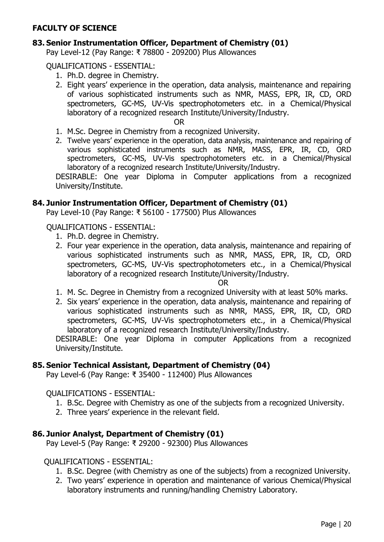## **FACULTY OF SCIENCE**

#### **83. Senior Instrumentation Officer, Department of Chemistry (01)**

Pay Level-12 (Pay Range: ₹ 78800 - 209200) Plus Allowances

QUALIFICATIONS - ESSENTIAL:

- 1. Ph.D. degree in Chemistry.
- 2. Eight years' experience in the operation, data analysis, maintenance and repairing of various sophisticated instruments such as NMR, MASS, EPR, IR, CD, ORD spectrometers, GC-MS, UV-Vis spectrophotometers etc. in a Chemical/Physical laboratory of a recognized research Institute/University/Industry.

OR

- 1. M.Sc. Degree in Chemistry from a recognized University.
- 2. Twelve years' experience in the operation, data analysis, maintenance and repairing of various sophisticated instruments such as NMR, MASS, EPR, IR, CD, ORD spectrometers, GC-MS, UV-Vis spectrophotometers etc. in a Chemical/Physical laboratory of a recognized research Institute/University/Industry.

DESIRABLE: One year Diploma in Computer applications from a recognized University/Institute.

#### **84. Junior Instrumentation Officer, Department of Chemistry (01)**

Pay Level-10 (Pay Range: ₹ 56100 - 177500) Plus Allowances

#### QUALIFICATIONS - ESSENTIAL:

- 1. Ph.D. degree in Chemistry.
- 2. Four year experience in the operation, data analysis, maintenance and repairing of various sophisticated instruments such as NMR, MASS, EPR, IR, CD, ORD spectrometers, GC-MS, UV-Vis spectrophotometers etc., in a Chemical/Physical laboratory of a recognized research Institute/University/Industry.

OR

- 1. M. Sc. Degree in Chemistry from a recognized University with at least 50% marks.
- 2. Six years' experience in the operation, data analysis, maintenance and repairing of various sophisticated instruments such as NMR, MASS, EPR, IR, CD, ORD spectrometers, GC-MS, UV-Vis spectrophotometers etc., in a Chemical/Physical laboratory of a recognized research Institute/University/Industry.

DESIRABLE: One year Diploma in computer Applications from a recognized University/Institute.

#### **85. Senior Technical Assistant, Department of Chemistry (04)**

Pay Level-6 (Pay Range: ₹ 35400 - 112400) Plus Allowances

#### QUALIFICATIONS - ESSENTIAL:

- 1. B.Sc. Degree with Chemistry as one of the subjects from a recognized University.
- 2. Three years' experience in the relevant field.

#### **86. Junior Analyst, Department of Chemistry (01)**

Pay Level-5 (Pay Range: ₹ 29200 - 92300) Plus Allowances

#### QUALIFICATIONS - ESSENTIAL:

- 1. B.Sc. Degree (with Chemistry as one of the subjects) from a recognized University.
- 2. Two years' experience in operation and maintenance of various Chemical/Physical laboratory instruments and running/handling Chemistry Laboratory.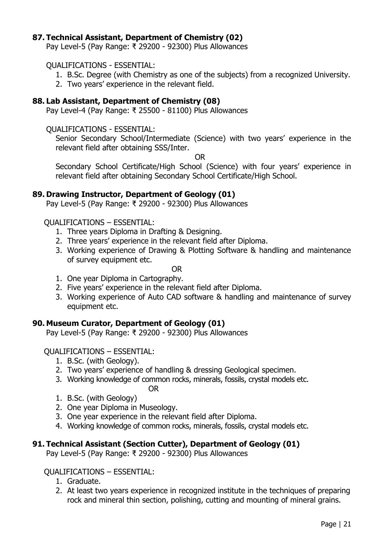## **87. Technical Assistant, Department of Chemistry (02)**

Pay Level-5 (Pay Range: ₹ 29200 - 92300) Plus Allowances

#### QUALIFICATIONS - ESSENTIAL:

- 1. B.Sc. Degree (with Chemistry as one of the subjects) from a recognized University.
- 2. Two years' experience in the relevant field.

## **88. Lab Assistant, Department of Chemistry (08)**

Pay Level-4 (Pay Range: ₹ 25500 - 81100) Plus Allowances

#### QUALIFICATIONS - ESSENTIAL:

Senior Secondary School/Intermediate (Science) with two years' experience in the relevant field after obtaining SSS/Inter.

OR

Secondary School Certificate/High School (Science) with four years' experience in relevant field after obtaining Secondary School Certificate/High School.

## **89. Drawing Instructor, Department of Geology (01)**

Pay Level-5 (Pay Range: ₹ 29200 - 92300) Plus Allowances

## QUALIFICATIONS – ESSENTIAL:

- 1. Three years Diploma in Drafting & Designing.
- 2. Three years' experience in the relevant field after Diploma.
- 3. Working experience of Drawing & Plotting Software & handling and maintenance of survey equipment etc.

OR

- 1. One year Diploma in Cartography.
- 2. Five years' experience in the relevant field after Diploma.
- 3. Working experience of Auto CAD software & handling and maintenance of survey equipment etc.

## **90. Museum Curator, Department of Geology (01)**

Pay Level-5 (Pay Range: ₹ 29200 - 92300) Plus Allowances

## QUALIFICATIONS – ESSENTIAL:

- 1. B.Sc. (with Geology).
- 2. Two years' experience of handling & dressing Geological specimen.
- 3. Working knowledge of common rocks, minerals, fossils, crystal models etc. OR
- 1. B.Sc. (with Geology)
- 2. One year Diploma in Museology.
- 3. One year experience in the relevant field after Diploma.
- 4. Working knowledge of common rocks, minerals, fossils, crystal models etc.

## **91. Technical Assistant (Section Cutter), Department of Geology (01)**

Pay Level-5 (Pay Range: ₹ 29200 - 92300) Plus Allowances

## QUALIFICATIONS – ESSENTIAL:

- 1. Graduate.
- 2. At least two years experience in recognized institute in the techniques of preparing rock and mineral thin section, polishing, cutting and mounting of mineral grains.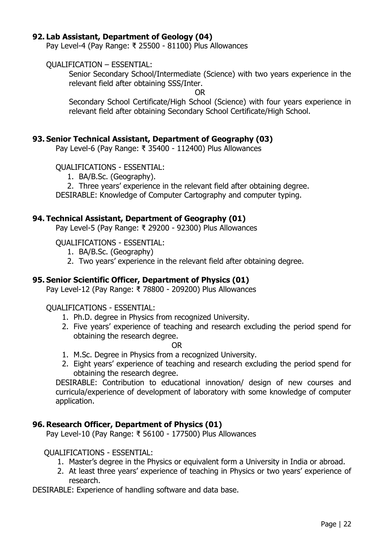#### **92. Lab Assistant, Department of Geology (04)**

Pay Level-4 (Pay Range: ₹ 25500 - 81100) Plus Allowances

#### QUALIFICATION – ESSENTIAL:

Senior Secondary School/Intermediate (Science) with two years experience in the relevant field after obtaining SSS/Inter.

OR

Secondary School Certificate/High School (Science) with four years experience in relevant field after obtaining Secondary School Certificate/High School.

#### **93. Senior Technical Assistant, Department of Geography (03)**

Pay Level-6 (Pay Range: ₹ 35400 - 112400) Plus Allowances

#### QUALIFICATIONS - ESSENTIAL:

- 1. BA/B.Sc. (Geography).
- 2. Three years' experience in the relevant field after obtaining degree.

DESIRABLE: Knowledge of Computer Cartography and computer typing.

#### **94. Technical Assistant, Department of Geography (01)**

Pay Level-5 (Pay Range: ₹ 29200 - 92300) Plus Allowances

#### QUALIFICATIONS - ESSENTIAL:

- 1. BA/B.Sc. (Geography)
- 2. Two years' experience in the relevant field after obtaining degree.

#### **95. Senior Scientific Officer, Department of Physics (01)**

Pay Level-12 (Pay Range: ₹ 78800 - 209200) Plus Allowances

#### QUALIFICATIONS - ESSENTIAL:

- 1. Ph.D. degree in Physics from recognized University.
- 2. Five years' experience of teaching and research excluding the period spend for obtaining the research degree.

OR

- 1. M.Sc. Degree in Physics from a recognized University.
- 2. Eight years' experience of teaching and research excluding the period spend for obtaining the research degree.

DESIRABLE: Contribution to educational innovation/ design of new courses and curricula/experience of development of laboratory with some knowledge of computer application.

#### **96. Research Officer, Department of Physics (01)**

Pay Level-10 (Pay Range: ₹ 56100 - 177500) Plus Allowances

#### QUALIFICATIONS - ESSENTIAL:

- 1. Master's degree in the Physics or equivalent form a University in India or abroad.
- 2. At least three years' experience of teaching in Physics or two years' experience of research.
- DESIRABLE: Experience of handling software and data base.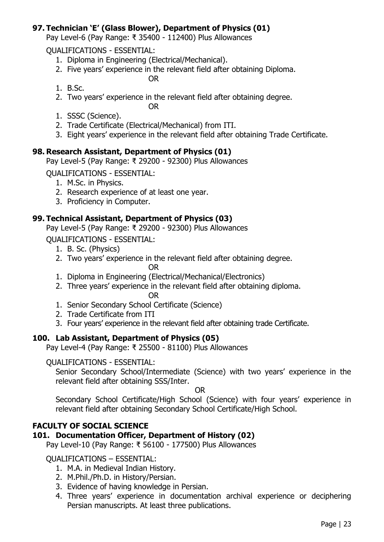# **97. Technician 'E' (Glass Blower), Department of Physics (01)**

Pay Level-6 (Pay Range: ₹ 35400 - 112400) Plus Allowances

QUALIFICATIONS - ESSENTIAL:

- 1. Diploma in Engineering (Electrical/Mechanical).
- 2. Five years' experience in the relevant field after obtaining Diploma.
	- OR

- 1. B.Sc.
- 2. Two years' experience in the relevant field after obtaining degree.

OR

- 1. SSSC (Science).
- 2. Trade Certificate (Electrical/Mechanical) from ITI.
- 3. Eight years' experience in the relevant field after obtaining Trade Certificate.

## **98. Research Assistant, Department of Physics (01)**

Pay Level-5 (Pay Range: ₹ 29200 - 92300) Plus Allowances

QUALIFICATIONS - ESSENTIAL:

- 1. M.Sc. in Physics.
- 2. Research experience of at least one year.
- 3. Proficiency in Computer.

## **99. Technical Assistant, Department of Physics (03)**

Pay Level-5 (Pay Range: ₹ 29200 - 92300) Plus Allowances

QUALIFICATIONS - ESSENTIAL:

- 1. B. Sc. (Physics)
- 2. Two years' experience in the relevant field after obtaining degree.
	- OR
- 1. Diploma in Engineering (Electrical/Mechanical/Electronics)
- 2. Three years' experience in the relevant field after obtaining diploma. OR
- 1. Senior Secondary School Certificate (Science)
- 2. Trade Certificate from ITI
- 3. Four years' experience in the relevant field after obtaining trade Certificate.

## **100. Lab Assistant, Department of Physics (05)**

Pay Level-4 (Pay Range: ₹ 25500 - 81100) Plus Allowances

## QUALIFICATIONS - ESSENTIAL:

Senior Secondary School/Intermediate (Science) with two years' experience in the relevant field after obtaining SSS/Inter.

OR

Secondary School Certificate/High School (Science) with four years' experience in relevant field after obtaining Secondary School Certificate/High School.

## **FACULTY OF SOCIAL SCIENCE**

## **101. Documentation Officer, Department of History (02)**

Pay Level-10 (Pay Range: ₹ 56100 - 177500) Plus Allowances

## QUALIFICATIONS – ESSENTIAL:

- 1. M.A. in Medieval Indian History.
- 2. M.Phil./Ph.D. in History/Persian.
- 3. Evidence of having knowledge in Persian.
- 4. Three years' experience in documentation archival experience or deciphering Persian manuscripts. At least three publications.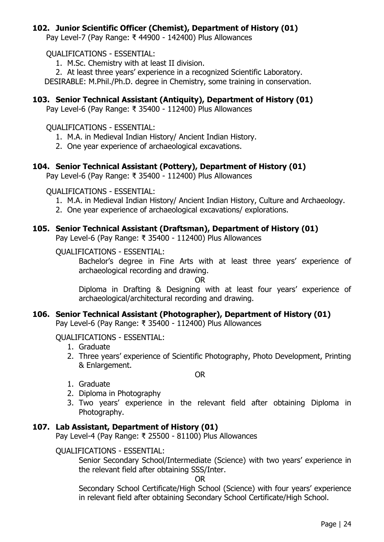## **102. Junior Scientific Officer (Chemist), Department of History (01)**

Pay Level-7 (Pay Range: ₹ 44900 - 142400) Plus Allowances

QUALIFICATIONS - ESSENTIAL:

- 1. M.Sc. Chemistry with at least II division.
- 2. At least three years' experience in a recognized Scientific Laboratory.

DESIRABLE: M.Phil./Ph.D. degree in Chemistry, some training in conservation.

# **103. Senior Technical Assistant (Antiquity), Department of History (01)**

Pay Level-6 (Pay Range: ₹ 35400 - 112400) Plus Allowances

## QUALIFICATIONS - ESSENTIAL:

- 1. M.A. in Medieval Indian History/ Ancient Indian History.
- 2. One year experience of archaeological excavations.

# **104. Senior Technical Assistant (Pottery), Department of History (01)**

Pay Level-6 (Pay Range: ₹ 35400 - 112400) Plus Allowances

QUALIFICATIONS - ESSENTIAL:

- 1. M.A. in Medieval Indian History/ Ancient Indian History, Culture and Archaeology.
- 2. One year experience of archaeological excavations/ explorations.

## **105. Senior Technical Assistant (Draftsman), Department of History (01)**

Pay Level-6 (Pay Range: ₹ 35400 - 112400) Plus Allowances

## QUALIFICATIONS - ESSENTIAL:

Bachelor's degree in Fine Arts with at least three years' experience of archaeological recording and drawing.

OR

Diploma in Drafting & Designing with at least four years' experience of archaeological/architectural recording and drawing.

# **106. Senior Technical Assistant (Photographer), Department of History (01)**

Pay Level-6 (Pay Range: ₹ 35400 - 112400) Plus Allowances

QUALIFICATIONS - ESSENTIAL:

- 1. Graduate
- 2. Three years' experience of Scientific Photography, Photo Development, Printing & Enlargement.

OR

- 1. Graduate
- 2. Diploma in Photography
- 3. Two years' experience in the relevant field after obtaining Diploma in Photography.

# **107. Lab Assistant, Department of History (01)**

Pay Level-4 (Pay Range: ₹ 25500 - 81100) Plus Allowances

## QUALIFICATIONS - ESSENTIAL:

Senior Secondary School/Intermediate (Science) with two years' experience in the relevant field after obtaining SSS/Inter.

OR

Secondary School Certificate/High School (Science) with four years' experience in relevant field after obtaining Secondary School Certificate/High School.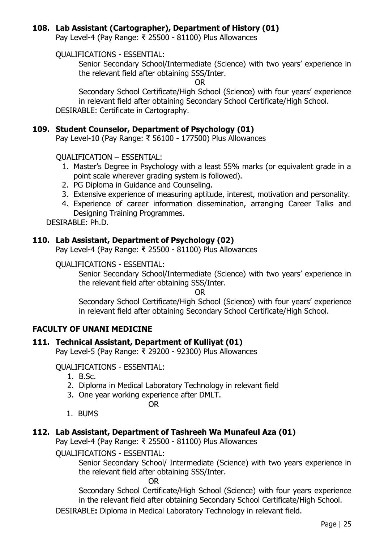## **108. Lab Assistant (Cartographer), Department of History (01)**

Pay Level-4 (Pay Range: ₹ 25500 - 81100) Plus Allowances

QUALIFICATIONS - ESSENTIAL:

Senior Secondary School/Intermediate (Science) with two years' experience in the relevant field after obtaining SSS/Inter.

OR

Secondary School Certificate/High School (Science) with four years' experience in relevant field after obtaining Secondary School Certificate/High School. DESIRABLE: Certificate in Cartography.

## **109. Student Counselor, Department of Psychology (01)**

Pay Level-10 (Pay Range: ₹ 56100 - 177500) Plus Allowances

QUALIFICATION – ESSENTIAL:

- 1. Master's Degree in Psychology with a least 55% marks (or equivalent grade in a point scale wherever grading system is followed).
- 2. PG Diploma in Guidance and Counseling.
- 3. Extensive experience of measuring aptitude, interest, motivation and personality.
- 4. Experience of career information dissemination, arranging Career Talks and Designing Training Programmes.

DESIRABLE: Ph.D.

## **110. Lab Assistant, Department of Psychology (02)**

Pay Level-4 (Pay Range: ₹ 25500 - 81100) Plus Allowances

#### QUALIFICATIONS - ESSENTIAL:

Senior Secondary School/Intermediate (Science) with two years' experience in the relevant field after obtaining SSS/Inter.

OR

Secondary School Certificate/High School (Science) with four years' experience in relevant field after obtaining Secondary School Certificate/High School.

## **FACULTY OF UNANI MEDICINE**

## **111. Technical Assistant, Department of Kulliyat (01)**

Pay Level-5 (Pay Range: ₹ 29200 - 92300) Plus Allowances

#### QUALIFICATIONS - ESSENTIAL:

- 1. B.Sc.
- 2. Diploma in Medical Laboratory Technology in relevant field
- 3. One year working experience after DMLT.
	- OR
- 1. BUMS

## **112. Lab Assistant, Department of Tashreeh Wa Munafeul Aza (01)**

Pay Level-4 (Pay Range: ₹ 25500 - 81100) Plus Allowances

QUALIFICATIONS - ESSENTIAL:

Senior Secondary School/ Intermediate (Science) with two years experience in the relevant field after obtaining SSS/Inter.

OR

Secondary School Certificate/High School (Science) with four years experience in the relevant field after obtaining Secondary School Certificate/High School.

DESIRABLE**:** Diploma in Medical Laboratory Technology in relevant field.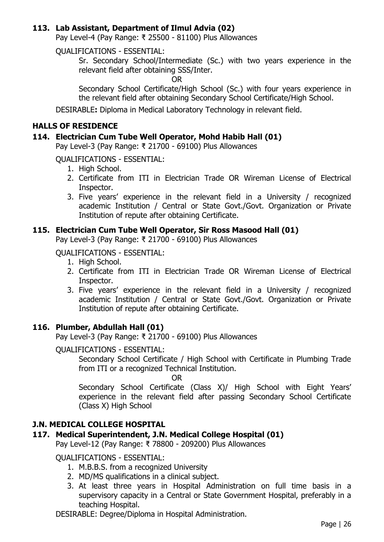## **113. Lab Assistant, Department of Ilmul Advia (02)**

Pay Level-4 (Pay Range: ₹ 25500 - 81100) Plus Allowances

QUALIFICATIONS - ESSENTIAL:

Sr. Secondary School/Intermediate (Sc.) with two years experience in the relevant field after obtaining SSS/Inter.

OR

Secondary School Certificate/High School (Sc.) with four years experience in the relevant field after obtaining Secondary School Certificate/High School.

DESIRABLE**:** Diploma in Medical Laboratory Technology in relevant field.

## **HALLS OF RESIDENCE**

#### **114. Electrician Cum Tube Well Operator, Mohd Habib Hall (01)**

Pay Level-3 (Pay Range: ₹ 21700 - 69100) Plus Allowances

QUALIFICATIONS - ESSENTIAL:

- 1. High School.
- 2. Certificate from ITI in Electrician Trade OR Wireman License of Electrical Inspector.
- 3. Five years' experience in the relevant field in a University / recognized academic Institution / Central or State Govt./Govt. Organization or Private Institution of repute after obtaining Certificate.

#### **115. Electrician Cum Tube Well Operator, Sir Ross Masood Hall (01)**

Pay Level-3 (Pay Range: ₹ 21700 - 69100) Plus Allowances

QUALIFICATIONS - ESSENTIAL:

- 1. High School.
- 2. Certificate from ITI in Electrician Trade OR Wireman License of Electrical Inspector.
- 3. Five years' experience in the relevant field in a University / recognized academic Institution / Central or State Govt./Govt. Organization or Private Institution of repute after obtaining Certificate.

## **116. Plumber, Abdullah Hall (01)**

Pay Level-3 (Pay Range: ₹ 21700 - 69100) Plus Allowances

#### QUALIFICATIONS - ESSENTIAL:

Secondary School Certificate / High School with Certificate in Plumbing Trade from ITI or a recognized Technical Institution.

OR

Secondary School Certificate (Class X)/ High School with Eight Years' experience in the relevant field after passing Secondary School Certificate (Class X) High School

## **J.N. MEDICAL COLLEGE HOSPITAL**

## **117. Medical Superintendent, J.N. Medical College Hospital (01)**

Pay Level-12 (Pay Range: ₹ 78800 - 209200) Plus Allowances

#### QUALIFICATIONS - ESSENTIAL:

- 1. M.B.B.S. from a recognized University
- 2. MD/MS qualifications in a clinical subject.
- 3. At least three years in Hospital Administration on full time basis in a supervisory capacity in a Central or State Government Hospital, preferably in a teaching Hospital.

DESIRABLE: Degree/Diploma in Hospital Administration.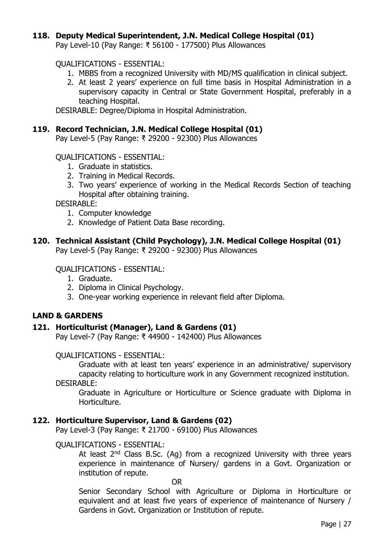#### **118. Deputy Medical Superintendent, J.N. Medical College Hospital (01)**

Pay Level-10 (Pay Range: ₹ 56100 - 177500) Plus Allowances

QUALIFICATIONS - ESSENTIAL:

- 1. MBBS from a recognized University with MD/MS qualification in clinical subject.
- 2. At least 2 years' experience on full time basis in Hospital Administration in a supervisory capacity in Central or State Government Hospital, preferably in a teaching Hospital.

DESIRABLE: Degree/Diploma in Hospital Administration.

#### **119. Record Technician, J.N. Medical College Hospital (01)**

Pay Level-5 (Pay Range: ₹ 29200 - 92300) Plus Allowances

QUALIFICATIONS - ESSENTIAL:

- 1. Graduate in statistics.
- 2. Training in Medical Records.
- 3. Two years' experience of working in the Medical Records Section of teaching Hospital after obtaining training.

DESIRABLE:

- 1. Computer knowledge
- 2. Knowledge of Patient Data Base recording.

#### **120. Technical Assistant (Child Psychology), J.N. Medical College Hospital (01)**

Pay Level-5 (Pay Range: ₹ 29200 - 92300) Plus Allowances

QUALIFICATIONS - ESSENTIAL:

- 1. Graduate.
- 2. Diploma in Clinical Psychology.
- 3. One-year working experience in relevant field after Diploma.

#### **LAND & GARDENS**

#### **121. Horticulturist (Manager), Land & Gardens (01)**

Pay Level-7 (Pay Range: ₹ 44900 - 142400) Plus Allowances

#### QUALIFICATIONS - ESSENTIAL:

Graduate with at least ten years' experience in an administrative/ supervisory capacity relating to horticulture work in any Government recognized institution.

DESIRABLE:

Graduate in Agriculture or Horticulture or Science graduate with Diploma in Horticulture.

#### **122. Horticulture Supervisor, Land & Gardens (02)**

Pay Level-3 (Pay Range: ₹ 21700 - 69100) Plus Allowances

#### QUALIFICATIONS - ESSENTIAL:

At least  $2^{nd}$  Class B.Sc. (Ag) from a recognized University with three years experience in maintenance of Nursery/ gardens in a Govt. Organization or institution of repute.

OR

Senior Secondary School with Agriculture or Diploma in Horticulture or equivalent and at least five years of experience of maintenance of Nursery / Gardens in Govt. Organization or Institution of repute.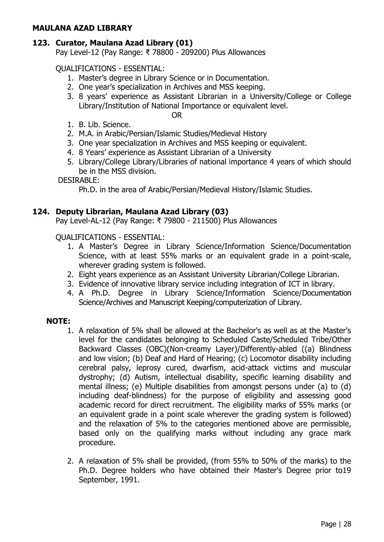#### **MAULANA AZAD LIBRARY**

# **123. Curator, Maulana Azad Library (01)**

Pay Level-12 (Pay Range: ₹ 78800 - 209200) Plus Allowances

# QUALIFICATIONS - ESSENTIAL:

- 1. Master's degree in Library Science or in Documentation.
- 2. One year's specialization in Archives and MSS keeping.
- 3. 8 years' experience as Assistant Librarian in a University/College or College Library/Institution of National Importance or equivalent level.

OR

- 1. B. Lib. Science.
- 2. M.A. in Arabic/Persian/Islamic Studies/Medieval History
- 3. One year specialization in Archives and MSS keeping or equivalent.
- 4. 8 Years' experience as Assistant Librarian of a University
- 5. Library/College Library/Libraries of national importance 4 years of which should be in the MSS division.

#### DESIRABLE:

Ph.D. in the area of Arabic/Persian/Medieval History/Islamic Studies.

## **124. Deputy Librarian, Maulana Azad Library (03)**

Pay Level-AL-12 (Pay Range: ₹ 79800 - 211500) Plus Allowances

QUALIFICATIONS - ESSENTIAL:

- 1. A Master's Degree in Library Science/Information Science/Documentation Science, with at least 55% marks or an equivalent grade in a point-scale, wherever grading system is followed.
- 2. Eight years experience as an Assistant University Librarian/College Librarian.
- 3. Evidence of innovative library service including integration of ICT in library.
- 4. A Ph.D. Degree in Library Science/Information Science/Documentation Science/Archives and Manuscript Keeping/computerization of Library.

#### **NOTE:**

- 1. A relaxation of 5% shall be allowed at the Bachelor's as well as at the Master's level for the candidates belonging to Scheduled Caste/Scheduled Tribe/Other Backward Classes (OBC)(Non-creamy Layer)/Differently-abled ((a) Blindness and low vision; (b) Deaf and Hard of Hearing; (c) Locomotor disability including cerebral palsy, leprosy cured, dwarfism, acid-attack victims and muscular dystrophy; (d) Autism, intellectual disability, specific learning disability and mental illness; (e) Multiple disabilities from amongst persons under (a) to (d) including deaf-blindness) for the purpose of eligibility and assessing good academic record for direct recruitment. The eligibility marks of 55% marks (or an equivalent grade in a point scale wherever the grading system is followed) and the relaxation of 5% to the categories mentioned above are permissible, based only on the qualifying marks without including any grace mark procedure.
- 2. A relaxation of 5% shall be provided, (from 55% to 50% of the marks) to the Ph.D. Degree holders who have obtained their Master's Degree prior to19 September, 1991.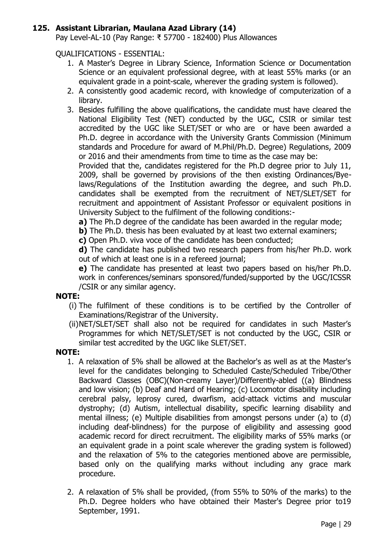## **125. Assistant Librarian, Maulana Azad Library (14)**

Pay Level-AL-10 (Pay Range: ₹ 57700 - 182400) Plus Allowances

QUALIFICATIONS - ESSENTIAL:

- 1. A Master's Degree in Library Science, Information Science or Documentation Science or an equivalent professional degree, with at least 55% marks (or an equivalent grade in a point-scale, wherever the grading system is followed).
- 2. A consistently good academic record, with knowledge of computerization of a library.
- 3. Besides fulfilling the above qualifications, the candidate must have cleared the National Eligibility Test (NET) conducted by the UGC, CSIR or similar test accredited by the UGC like SLET/SET or who are or have been awarded a Ph.D. degree in accordance with the University Grants Commission (Minimum standards and Procedure for award of M.Phil/Ph.D. Degree) Regulations, 2009 or 2016 and their amendments from time to time as the case may be:

Provided that the, candidates registered for the Ph.D degree prior to July 11, 2009, shall be governed by provisions of the then existing Ordinances/Byelaws/Regulations of the Institution awarding the degree, and such Ph.D. candidates shall be exempted from the recruitment of NET/SLET/SET for recruitment and appointment of Assistant Professor or equivalent positions in University Subject to the fulfilment of the following conditions:-

**a)** The Ph.D degree of the candidate has been awarded in the regular mode;

- **b**) The Ph.D. thesis has been evaluated by at least two external examiners;
- **c)** Open Ph.D. viva voce of the candidate has been conducted;

**d)** The candidate has published two research papers from his/her Ph.D. work out of which at least one is in a refereed journal;

**e)** The candidate has presented at least two papers based on his/her Ph.D. work in conferences/seminars sponsored/funded/supported by the UGC/ICSSR /CSIR or any similar agency.

## **NOTE:**

- (i) The fulfilment of these conditions is to be certified by the Controller of Examinations/Registrar of the University.
- (ii)NET/SLET/SET shall also not be required for candidates in such Master's Programmes for which NET/SLET/SET is not conducted by the UGC, CSIR or similar test accredited by the UGC like SLET/SET.

## **NOTE:**

- 1. A relaxation of 5% shall be allowed at the Bachelor's as well as at the Master's level for the candidates belonging to Scheduled Caste/Scheduled Tribe/Other Backward Classes (OBC)(Non-creamy Layer)/Differently-abled ((a) Blindness and low vision; (b) Deaf and Hard of Hearing; (c) Locomotor disability including cerebral palsy, leprosy cured, dwarfism, acid-attack victims and muscular dystrophy; (d) Autism, intellectual disability, specific learning disability and mental illness; (e) Multiple disabilities from amongst persons under (a) to (d) including deaf-blindness) for the purpose of eligibility and assessing good academic record for direct recruitment. The eligibility marks of 55% marks (or an equivalent grade in a point scale wherever the grading system is followed) and the relaxation of 5% to the categories mentioned above are permissible, based only on the qualifying marks without including any grace mark procedure.
- 2. A relaxation of 5% shall be provided, (from 55% to 50% of the marks) to the Ph.D. Degree holders who have obtained their Master's Degree prior to19 September, 1991.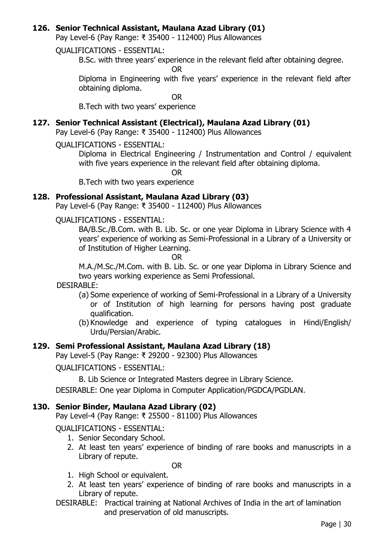## **126. Senior Technical Assistant, Maulana Azad Library (01)**

Pay Level-6 (Pay Range: ₹ 35400 - 112400) Plus Allowances

#### QUALIFICATIONS - ESSENTIAL:

B.Sc. with three years' experience in the relevant field after obtaining degree.

OR

Diploma in Engineering with five years' experience in the relevant field after obtaining diploma.

OR

B.Tech with two years' experience

## **127. Senior Technical Assistant (Electrical), Maulana Azad Library (01)**

Pay Level-6 (Pay Range: ₹ 35400 - 112400) Plus Allowances

QUALIFICATIONS - ESSENTIAL:

Diploma in Electrical Engineering / Instrumentation and Control / equivalent with five years experience in the relevant field after obtaining diploma.

OR

B.Tech with two years experience

## **128. Professional Assistant, Maulana Azad Library (03)**

Pay Level-6 (Pay Range: ₹ 35400 - 112400) Plus Allowances

QUALIFICATIONS - ESSENTIAL:

BA/B.Sc./B.Com. with B. Lib. Sc. or one year Diploma in Library Science with 4 years' experience of working as Semi-Professional in a Library of a University or of Institution of Higher Learning.

OR

M.A./M.Sc./M.Com. with B. Lib. Sc. or one year Diploma in Library Science and two years working experience as Semi Professional.

#### DESIRABLE:

- (a) Some experience of working of Semi-Professional in a Library of a University or of Institution of high learning for persons having post graduate qualification.
- (b) Knowledge and experience of typing catalogues in Hindi/English/ Urdu/Persian/Arabic.

## **129. Semi Professional Assistant, Maulana Azad Library (18)**

Pay Level-5 (Pay Range: ₹ 29200 - 92300) Plus Allowances

QUALIFICATIONS - ESSENTIAL:

B. Lib Science or Integrated Masters degree in Library Science.

DESIRABLE: One year Diploma in Computer Application/PGDCA/PGDLAN.

#### **130. Senior Binder, Maulana Azad Library (02)**

Pay Level-4 (Pay Range: ₹ 25500 - 81100) Plus Allowances

QUALIFICATIONS - ESSENTIAL:

- 1. Senior Secondary School.
- 2. At least ten years' experience of binding of rare books and manuscripts in a Library of repute.

OR

- 1. High School or equivalent.
- 2. At least ten years' experience of binding of rare books and manuscripts in a Library of repute.
- DESIRABLE: Practical training at National Archives of India in the art of lamination and preservation of old manuscripts.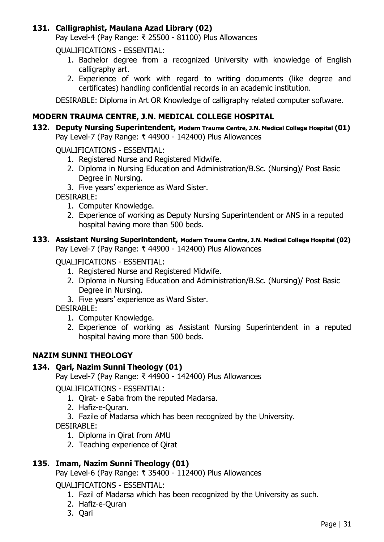# **131. Calligraphist, Maulana Azad Library (02)**

Pay Level-4 (Pay Range: ₹ 25500 - 81100) Plus Allowances

QUALIFICATIONS - ESSENTIAL:

- 1. Bachelor degree from a recognized University with knowledge of English calligraphy art.
- 2. Experience of work with regard to writing documents (like degree and certificates) handling confidential records in an academic institution.

DESIRABLE: Diploma in Art OR Knowledge of calligraphy related computer software.

# **MODERN TRAUMA CENTRE, J.N. MEDICAL COLLEGE HOSPITAL**

**132. Deputy Nursing Superintendent, Modern Trauma Centre, J.N. Medical College Hospital (01)** Pay Level-7 (Pay Range: ₹ 44900 - 142400) Plus Allowances

QUALIFICATIONS - ESSENTIAL:

- 1. Registered Nurse and Registered Midwife.
- 2. Diploma in Nursing Education and Administration/B.Sc. (Nursing)/ Post Basic Degree in Nursing.
- 3. Five years' experience as Ward Sister.

DESIRABLE:

- 1. Computer Knowledge.
- 2. Experience of working as Deputy Nursing Superintendent or ANS in a reputed hospital having more than 500 beds.

#### **133. Assistant Nursing Superintendent, Modern Trauma Centre, J.N. Medical College Hospital (02)** Pay Level-7 (Pay Range: ₹ 44900 - 142400) Plus Allowances

#### QUALIFICATIONS - ESSENTIAL:

- 1. Registered Nurse and Registered Midwife.
- 2. Diploma in Nursing Education and Administration/B.Sc. (Nursing)/ Post Basic Degree in Nursing.
- 3. Five years' experience as Ward Sister.

DESIRABLE:

- 1. Computer Knowledge.
- 2. Experience of working as Assistant Nursing Superintendent in a reputed hospital having more than 500 beds.

## **NAZIM SUNNI THEOLOGY**

## **134. Qari, Nazim Sunni Theology (01)**

Pay Level-7 (Pay Range: ₹ 44900 - 142400) Plus Allowances

QUALIFICATIONS - ESSENTIAL:

- 1. Qirat- e Saba from the reputed Madarsa.
- 2. Hafiz-e-Quran.
- 3. Fazile of Madarsa which has been recognized by the University.

DESIRABLE:

- 1. Diploma in Qirat from AMU
- 2. Teaching experience of Qirat

## **135. Imam, Nazim Sunni Theology (01)**

Pay Level-6 (Pay Range: ₹ 35400 - 112400) Plus Allowances

QUALIFICATIONS - ESSENTIAL:

- 1. Fazil of Madarsa which has been recognized by the University as such.
- 2. Hafiz-e-Quran
- 3. Qari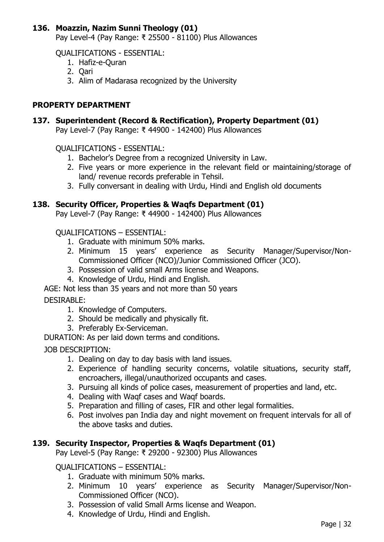# **136. Moazzin, Nazim Sunni Theology (01)**

Pay Level-4 (Pay Range: ₹ 25500 - 81100) Plus Allowances

QUALIFICATIONS - ESSENTIAL:

- 1. Hafiz-e-Quran
- 2. Qari
- 3. Alim of Madarasa recognized by the University

## **PROPERTY DEPARTMENT**

# **137. Superintendent (Record & Rectification), Property Department (01)**

Pay Level-7 (Pay Range: ₹ 44900 - 142400) Plus Allowances

QUALIFICATIONS - ESSENTIAL:

- 1. Bachelor's Degree from a recognized University in Law.
- 2. Five years or more experience in the relevant field or maintaining/storage of land/ revenue records preferable in Tehsil.
- 3. Fully conversant in dealing with Urdu, Hindi and English old documents

#### **138. Security Officer, Properties & Waqfs Department (01)**

Pay Level-7 (Pay Range: ₹ 44900 - 142400) Plus Allowances

#### QUALIFICATIONS – ESSENTIAL:

- 1. Graduate with minimum 50% marks.
- 2. Minimum 15 years' experience as Security Manager/Supervisor/Non-Commissioned Officer (NCO)/Junior Commissioned Officer (JCO).
- 3. Possession of valid small Arms license and Weapons.
- 4. Knowledge of Urdu, Hindi and English.

AGE: Not less than 35 years and not more than 50 years

#### DESIRABLE:

- 1. Knowledge of Computers.
- 2. Should be medically and physically fit.
- 3. Preferably Ex-Serviceman.

DURATION: As per laid down terms and conditions.

#### JOB DESCRIPTION:

- 1. Dealing on day to day basis with land issues.
- 2. Experience of handling security concerns, volatile situations, security staff, encroachers, illegal/unauthorized occupants and cases.
- 3. Pursuing all kinds of police cases, measurement of properties and land, etc.
- 4. Dealing with Waqf cases and Waqf boards.
- 5. Preparation and filling of cases, FIR and other legal formalities.
- 6. Post involves pan India day and night movement on frequent intervals for all of the above tasks and duties.

## **139. Security Inspector, Properties & Waqfs Department (01)**

Pay Level-5 (Pay Range: ₹ 29200 - 92300) Plus Allowances

## QUALIFICATIONS – ESSENTIAL:

- 1. Graduate with minimum 50% marks.
- 2. Minimum 10 years' experience as Security Manager/Supervisor/Non-Commissioned Officer (NCO).
- 3. Possession of valid Small Arms license and Weapon.
- 4. Knowledge of Urdu, Hindi and English.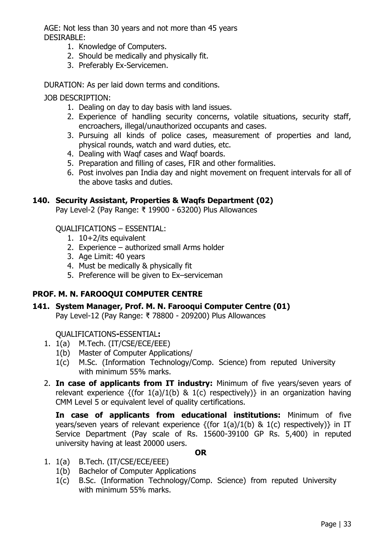AGE: Not less than 30 years and not more than 45 years DESIRABLE:

- 1. Knowledge of Computers.
- 2. Should be medically and physically fit.
- 3. Preferably Ex-Servicemen.

DURATION: As per laid down terms and conditions.

JOB DESCRIPTION:

- 1. Dealing on day to day basis with land issues.
- 2. Experience of handling security concerns, volatile situations, security staff, encroachers, illegal/unauthorized occupants and cases.
- 3. Pursuing all kinds of police cases, measurement of properties and land, physical rounds, watch and ward duties, etc.
- 4. Dealing with Waqf cases and Waqf boards.
- 5. Preparation and filling of cases, FIR and other formalities.
- 6. Post involves pan India day and night movement on frequent intervals for all of the above tasks and duties.

## **140. Security Assistant, Properties & Waqfs Department (02)**

Pay Level-2 (Pay Range: ₹ 19900 - 63200) Plus Allowances

QUALIFICATIONS – ESSENTIAL:

- 1. 10+2/its equivalent
- 2. Experience authorized small Arms holder
- 3. Age Limit: 40 years
- 4. Must be medically & physically fit
- 5. Preference will be given to Ex–serviceman

# **PROF. M. N. FAROOQUI COMPUTER CENTRE**

**141. System Manager, Prof. M. N. Farooqui Computer Centre (01)**  Pay Level-12 (Pay Range: ₹ 78800 - 209200) Plus Allowances

QUALIFICATIONS**-**ESSENTIAL**:** 

- 1. 1(a) M.Tech. (IT/CSE/ECE/EEE)
	- 1(b) Master of Computer Applications/
	- 1(c) M.Sc. (Information Technology/Comp. Science) from reputed University with minimum 55% marks.
- 2. **In case of applicants from IT industry:** Minimum of five years/seven years of relevant experience  $\{(for 1(a)/1(b) \& 1(c)$  respectively)} in an organization having CMM Level 5 or equivalent level of quality certifications.

**In case of applicants from educational institutions:** Minimum of five years/seven years of relevant experience  $\{(for 1(a)/1(b) \& 1(c)$  respectively)} in IT Service Department (Pay scale of Rs. 15600-39100 GP Rs. 5,400) in reputed university having at least 20000 users.

#### **OR**

- 1. 1(a) B.Tech. (IT/CSE/ECE/EEE)
	- 1(b) Bachelor of Computer Applications
	- 1(c) B.Sc. (Information Technology/Comp. Science) from reputed University with minimum 55% marks.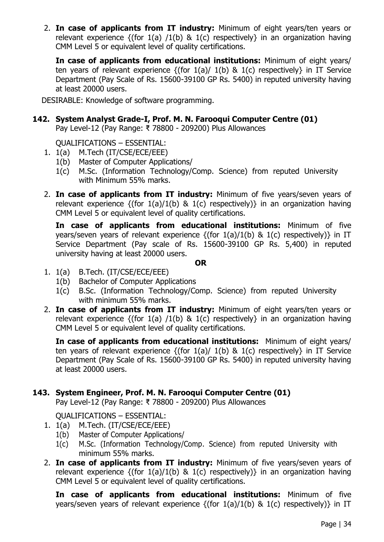2. **In case of applicants from IT industry:** Minimum of eight years/ten years or relevant experience  $\{(for 1(a) / 1(b) \& 1(c)$  respectively} in an organization having CMM Level 5 or equivalent level of quality certifications.

**In case of applicants from educational institutions:** Minimum of eight years/ ten years of relevant experience  $\{(for 1(a) / 1(b) \& 1(c)$  respectively in IT Service Department (Pay Scale of Rs. 15600-39100 GP Rs. 5400) in reputed university having at least 20000 users.

DESIRABLE: Knowledge of software programming.

**142. System Analyst Grade-I, Prof. M. N. Farooqui Computer Centre (01)** Pay Level-12 (Pay Range: ₹ 78800 - 209200) Plus Allowances

QUALIFICATIONS – ESSENTIAL:

- 1. 1(a) M.Tech (IT/CSE/ECE/EEE)
	- 1(b) Master of Computer Applications/
	- 1(c) M.Sc. (Information Technology/Comp. Science) from reputed University with Minimum 55% marks.
- 2. **In case of applicants from IT industry:** Minimum of five years/seven years of relevant experience  $\{(for 1(a)/1(b) \& 1(c)$  respectively)} in an organization having CMM Level 5 or equivalent level of quality certifications.

**In case of applicants from educational institutions:** Minimum of five years/seven years of relevant experience  $\{(for 1(a)/1(b) \& 1(c)$  respectively)} in IT Service Department (Pay scale of Rs. 15600-39100 GP Rs. 5,400) in reputed university having at least 20000 users.

**OR**

- 1. 1(a) B.Tech. (IT/CSE/ECE/EEE)
	- 1(b) Bachelor of Computer Applications
	- 1(c) B.Sc. (Information Technology/Comp. Science) from reputed University with minimum 55% marks.
- 2. **In case of applicants from IT industry:** Minimum of eight years/ten years or relevant experience  $\{(for 1(a) / 1(b) \& 1(c)$  respectively} in an organization having CMM Level 5 or equivalent level of quality certifications.

**In case of applicants from educational institutions:** Minimum of eight years/ ten years of relevant experience  $\{(for 1(a) / 1(b) \& 1(c)$  respectively} in IT Service Department (Pay Scale of Rs. 15600-39100 GP Rs. 5400) in reputed university having at least 20000 users.

## **143. System Engineer, Prof. M. N. Farooqui Computer Centre (01)**

Pay Level-12 (Pay Range: ₹ 78800 - 209200) Plus Allowances

QUALIFICATIONS – ESSENTIAL:

- 1. 1(a) M.Tech. (IT/CSE/ECE/EEE)
	- 1(b) Master of Computer Applications/
	- 1(c) M.Sc. (Information Technology/Comp. Science) from reputed University with minimum 55% marks.
- 2. **In case of applicants from IT industry:** Minimum of five years/seven years of relevant experience  $\{(for 1(a)/1(b) \& 1(c)$  respectively)} in an organization having CMM Level 5 or equivalent level of quality certifications.

**In case of applicants from educational institutions:** Minimum of five years/seven years of relevant experience  $\{(for 1(a)/1(b) \& 1(c)$  respectively) $\}$  in IT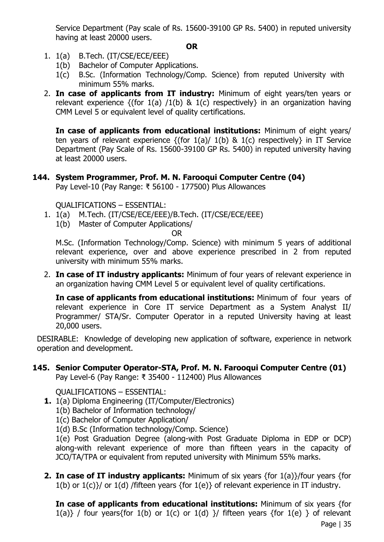Service Department (Pay scale of Rs. 15600-39100 GP Rs. 5400) in reputed university having at least 20000 users.

## **OR**

- 1. 1(a) B.Tech. (IT/CSE/ECE/EEE)
	- 1(b) Bachelor of Computer Applications.
	- 1(c) B.Sc. (Information Technology/Comp. Science) from reputed University with minimum 55% marks.
- 2. **In case of applicants from IT industry:** Minimum of eight years/ten years or relevant experience  $\{(for 1(a) / 1(b) \& 1(c)$  respectively} in an organization having CMM Level 5 or equivalent level of quality certifications.

**In case of applicants from educational institutions:** Minimum of eight years/ ten years of relevant experience  $\{(for 1(a) / 1(b) \& 1(c)$  respectively in IT Service Department (Pay Scale of Rs. 15600-39100 GP Rs. 5400) in reputed university having at least 20000 users.

#### **144. System Programmer, Prof. M. N. Farooqui Computer Centre (04)**  Pay Level-10 (Pay Range: ₹ 56100 - 177500) Plus Allowances

QUALIFICATIONS – ESSENTIAL:

- 1. 1(a) M.Tech. (IT/CSE/ECE/EEE)/B.Tech. (IT/CSE/ECE/EEE)
	- 1(b) Master of Computer Applications/

OR

M.Sc. (Information Technology/Comp. Science) with minimum 5 years of additional relevant experience, over and above experience prescribed in 2 from reputed university with minimum 55% marks.

2. **In case of IT industry applicants:** Minimum of four years of relevant experience in an organization having CMM Level 5 or equivalent level of quality certifications.

**In case of applicants from educational institutions:** Minimum of four years of relevant experience in Core IT service Department as a System Analyst II/ Programmer/ STA/Sr. Computer Operator in a reputed University having at least 20,000 users.

DESIRABLE: Knowledge of developing new application of software, experience in network operation and development.

# **145. Senior Computer Operator-STA, Prof. M. N. Farooqui Computer Centre (01)**

Pay Level-6 (Pay Range: ₹ 35400 - 112400) Plus Allowances

QUALIFICATIONS – ESSENTIAL:

- **1.** 1(a) Diploma Engineering (IT/Computer/Electronics)
	- 1(b) Bachelor of Information technology/
	- 1(c) Bachelor of Computer Application/
	- 1(d) B.Sc (Information technology/Comp. Science)

1(e) Post Graduation Degree (along-with Post Graduate Diploma in EDP or DCP) along-with relevant experience of more than fifteen years in the capacity of JCO/TA/TPA or equivalent from reputed university with Minimum 55% marks.

**2. In case of IT industry applicants:** Minimum of six years {for 1(a)}/four years {for  $1(b)$  or  $1(c)$ }/ or  $1(d)$  /fifteen years {for  $1(e)$ } of relevant experience in IT industry.

Page | 35 **In case of applicants from educational institutions:** Minimum of six years {for 1(a)} / four years{for 1(b) or 1(c) or 1(d) }/ fifteen years {for 1(e) } of relevant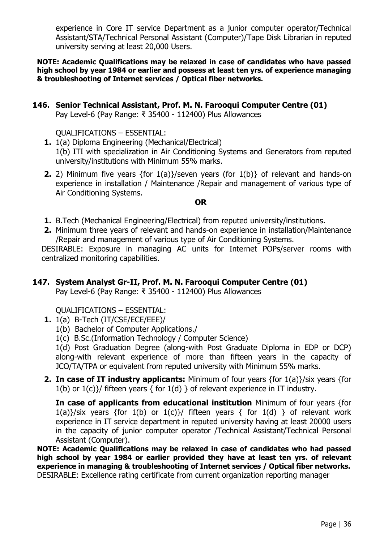experience in Core IT service Department as a junior computer operator/Technical Assistant/STA/Technical Personal Assistant (Computer)/Tape Disk Librarian in reputed university serving at least 20,000 Users.

**NOTE: Academic Qualifications may be relaxed in case of candidates who have passed high school by year 1984 or earlier and possess at least ten yrs. of experience managing & troubleshooting of Internet services / Optical fiber networks.** 

**146. Senior Technical Assistant, Prof. M. N. Farooqui Computer Centre (01)**

Pay Level-6 (Pay Range: ₹ 35400 - 112400) Plus Allowances

QUALIFICATIONS – ESSENTIAL:

- **1.** 1(a) Diploma Engineering (Mechanical/Electrical) 1(b) ITI with specialization in Air Conditioning Systems and Generators from reputed university/institutions with Minimum 55% marks.
- **2.** 2) Minimum five years {for 1(a)}/seven years (for 1(b)} of relevant and hands-on experience in installation / Maintenance /Repair and management of various type of Air Conditioning Systems.

#### **OR**

- **1.** B.Tech (Mechanical Engineering/Electrical) from reputed university/institutions.
- **2.** Minimum three years of relevant and hands-on experience in installation/Maintenance /Repair and management of various type of Air Conditioning Systems.

DESIRABLE: Exposure in managing AC units for Internet POPs/server rooms with centralized monitoring capabilities.

## **147. System Analyst Gr-II, Prof. M. N. Farooqui Computer Centre (01)**

Pay Level-6 (Pay Range: ₹ 35400 - 112400) Plus Allowances

QUALIFICATIONS – ESSENTIAL:

- **1.** 1(a) B-Tech (IT/CSE/ECE/EEE)/
	- 1(b) Bachelor of Computer Applications./
	- 1(c) B.Sc.(Information Technology / Computer Science)

1(d) Post Graduation Degree (along-with Post Graduate Diploma in EDP or DCP) along-with relevant experience of more than fifteen years in the capacity of JCO/TA/TPA or equivalent from reputed university with Minimum 55% marks.

**2. In case of IT industry applicants:** Minimum of four years {for 1(a)}/six years {for 1(b) or  $1(c)$ }/ fifteen years { for  $1(d)$  } of relevant experience in IT industry.

**In case of applicants from educational institution** Minimum of four years {for 1(a)}/six years {for 1(b) or 1(c)}/ fifteen years { for 1(d) } of relevant work experience in IT service department in reputed university having at least 20000 users in the capacity of junior computer operator /Technical Assistant/Technical Personal Assistant (Computer).

**NOTE: Academic Qualifications may be relaxed in case of candidates who had passed high school by year 1984 or earlier provided they have at least ten yrs. of relevant experience in managing & troubleshooting of Internet services / Optical fiber networks.** DESIRABLE: Excellence rating certificate from current organization reporting manager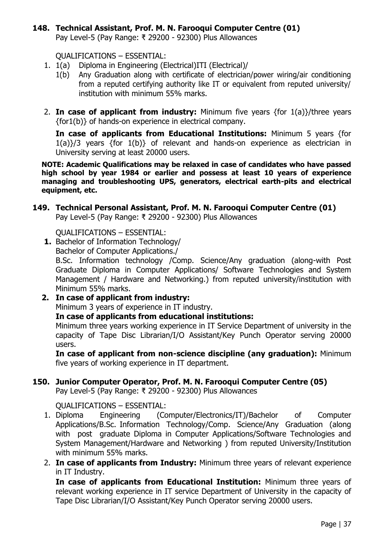# **148. Technical Assistant, Prof. M. N. Farooqui Computer Centre (01)**

Pay Level-5 (Pay Range: ₹ 29200 - 92300) Plus Allowances

QUALIFICATIONS – ESSENTIAL:

- 1. 1(a) Diploma in Engineering (Electrical)ITI (Electrical)/
	- 1(b) Any Graduation along with certificate of electrician/power wiring/air conditioning from a reputed certifying authority like IT or equivalent from reputed university/ institution with minimum 55% marks.
- 2. **In case of applicant from industry:** Minimum five years {for 1(a)}/three years {for1(b)} of hands-on experience in electrical company.

**In case of applicants from Educational Institutions:** Minimum 5 years {for 1(a)}/3 years {for 1(b)} of relevant and hands-on experience as electrician in University serving at least 20000 users.

**NOTE: Academic Qualifications may be relaxed in case of candidates who have passed high school by year 1984 or earlier and possess at least 10 years of experience managing and troubleshooting UPS, generators, electrical earth-pits and electrical equipment, etc.**

**149. Technical Personal Assistant, Prof. M. N. Farooqui Computer Centre (01)** Pay Level-5 (Pay Range: ₹ 29200 - 92300) Plus Allowances

QUALIFICATIONS – ESSENTIAL:

**1.** Bachelor of Information Technology/ Bachelor of Computer Applications./

B.Sc. Information technology /Comp. Science/Any graduation (along-with Post Graduate Diploma in Computer Applications/ Software Technologies and System Management / Hardware and Networking.) from reputed university/institution with Minimum 55% marks.

**2. In case of applicant from industry:**

Minimum 3 years of experience in IT industry.

**In case of applicants from educational institutions:**

Minimum three years working experience in IT Service Department of university in the capacity of Tape Disc Librarian/I/O Assistant/Key Punch Operator serving 20000 users.

**In case of applicant from non-science discipline (any graduation):** Minimum five years of working experience in IT department.

## **150. Junior Computer Operator, Prof. M. N. Farooqui Computer Centre (05)**

Pay Level-5 (Pay Range: ₹ 29200 - 92300) Plus Allowances

QUALIFICATIONS – ESSENTIAL:

- 1. Diploma Engineering (Computer/Electronics/IT)/Bachelor of Computer Applications/B.Sc. Information Technology/Comp. Science/Any Graduation (along with post graduate Diploma in Computer Applications/Software Technologies and System Management/Hardware and Networking ) from reputed University/Institution with minimum 55% marks.
- 2. **In case of applicants from Industry:** Minimum three years of relevant experience in IT Industry.

**In case of applicants from Educational Institution:** Minimum three years of relevant working experience in IT service Department of University in the capacity of Tape Disc Librarian/I/O Assistant/Key Punch Operator serving 20000 users.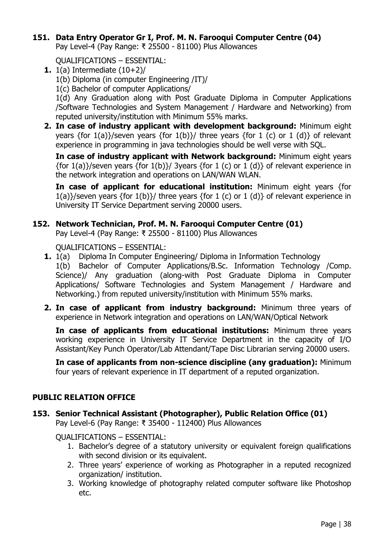## **151. Data Entry Operator Gr I, Prof. M. N. Farooqui Computer Centre (04)**

Pay Level-4 (Pay Range: ₹ 25500 - 81100) Plus Allowances

QUALIFICATIONS – ESSENTIAL:

- **1.** 1(a) Intermediate  $(10+2)$ 
	- 1(b) Diploma (in computer Engineering /IT)/
	- 1(c) Bachelor of computer Applications/

1(d) Any Graduation along with Post Graduate Diploma in Computer Applications /Software Technologies and System Management / Hardware and Networking) from reputed university/institution with Minimum 55% marks.

**2. In case of industry applicant with development background:** Minimum eight years {for 1(a)}/seven years {for 1(b)}/ three years {for 1 (c) or 1 (d)} of relevant experience in programming in java technologies should be well verse with SQL.

**In case of industry applicant with Network background:** Minimum eight years {for 1(a)}/seven years {for 1(b)}/ 3years {for 1 (c) or 1 (d)} of relevant experience in the network integration and operations on LAN/WAN WLAN.

**In case of applicant for educational institution:** Minimum eight years {for  $1(a)$ }/seven years {for  $1(b)$ }/ three years {for 1 (c) or 1 (d)} of relevant experience in University IT Service Department serving 20000 users.

## **152. Network Technician, Prof. M. N. Farooqui Computer Centre (01)**

Pay Level-4 (Pay Range: ₹ 25500 - 81100) Plus Allowances

QUALIFICATIONS – ESSENTIAL:

- **1.** 1(a) Diploma In Computer Engineering/ Diploma in Information Technology 1(b) Bachelor of Computer Applications/B.Sc. Information Technology /Comp. Science)/ Any graduation (along-with Post Graduate Diploma in Computer Applications/ Software Technologies and System Management / Hardware and Networking.) from reputed university/institution with Minimum 55% marks.
- **2. In case of applicant from industry background:** Minimum three years of experience in Network integration and operations on LAN/WAN/Optical Network

**In case of applicants from educational institutions:** Minimum three years working experience in University IT Service Department in the capacity of I/O Assistant/Key Punch Operator/Lab Attendant/Tape Disc Librarian serving 20000 users.

**In case of applicants from non-science discipline (any graduation):** Minimum four years of relevant experience in IT department of a reputed organization.

## **PUBLIC RELATION OFFICE**

**153. Senior Technical Assistant (Photographer), Public Relation Office (01)**

Pay Level-6 (Pay Range: ₹ 35400 - 112400) Plus Allowances

QUALIFICATIONS – ESSENTIAL:

- 1. Bachelor's degree of a statutory university or equivalent foreign qualifications with second division or its equivalent.
- 2. Three years' experience of working as Photographer in a reputed recognized organization/ institution.
- 3. Working knowledge of photography related computer software like Photoshop etc.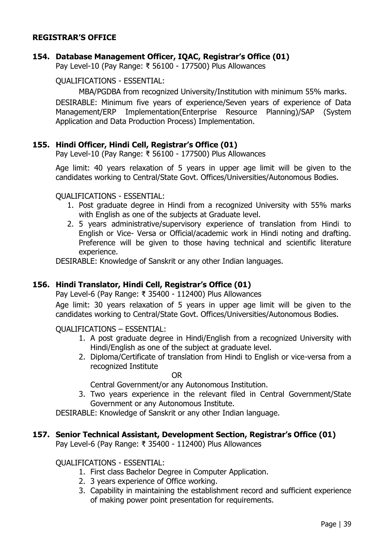#### **REGISTRAR'S OFFICE**

#### **154. Database Management Officer, IQAC, Registrar's Office (01)**

Pay Level-10 (Pay Range: ₹ 56100 - 177500) Plus Allowances

QUALIFICATIONS - ESSENTIAL:

MBA/PGDBA from recognized University/Institution with minimum 55% marks.

DESIRABLE: Minimum five years of experience/Seven years of experience of Data Management/ERP Implementation(Enterprise Resource Planning)/SAP (System Application and Data Production Process) Implementation.

#### **155. Hindi Officer, Hindi Cell, Registrar's Office (01)**

Pay Level-10 (Pay Range: ₹ 56100 - 177500) Plus Allowances

Age limit: 40 years relaxation of 5 years in upper age limit will be given to the candidates working to Central/State Govt. Offices/Universities/Autonomous Bodies.

#### QUALIFICATIONS - ESSENTIAL:

- 1. Post graduate degree in Hindi from a recognized University with 55% marks with English as one of the subjects at Graduate level.
- 2. 5 years administrative/supervisory experience of translation from Hindi to English or Vice- Versa or Official/academic work in Hindi noting and drafting. Preference will be given to those having technical and scientific literature experience.

DESIRABLE: Knowledge of Sanskrit or any other Indian languages.

#### **156. Hindi Translator, Hindi Cell, Registrar's Office (01)**

Pay Level-6 (Pay Range: ₹ 35400 - 112400) Plus Allowances

Age limit: 30 years relaxation of 5 years in upper age limit will be given to the candidates working to Central/State Govt. Offices/Universities/Autonomous Bodies.

QUALIFICATIONS – ESSENTIAL:

- 1. A post graduate degree in Hindi/English from a recognized University with Hindi/English as one of the subject at graduate level.
- 2. Diploma/Certificate of translation from Hindi to English or vice-versa from a recognized Institute

OR

Central Government/or any Autonomous Institution.

3. Two years experience in the relevant filed in Central Government/State Government or any Autonomous Institute.

DESIRABLE: Knowledge of Sanskrit or any other Indian language.

#### **157. Senior Technical Assistant, Development Section, Registrar's Office (01)**

Pay Level-6 (Pay Range: ₹ 35400 - 112400) Plus Allowances

QUALIFICATIONS - ESSENTIAL:

- 1. First class Bachelor Degree in Computer Application.
- 2. 3 years experience of Office working.
- 3. Capability in maintaining the establishment record and sufficient experience of making power point presentation for requirements.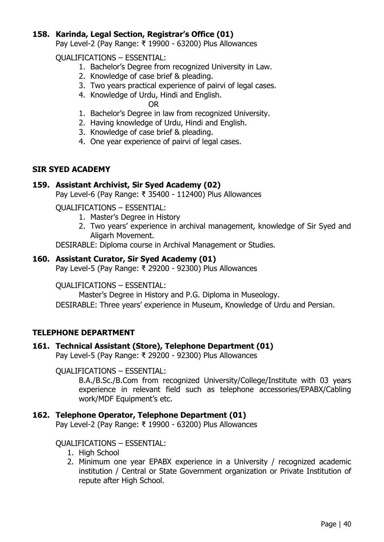## **158. Karinda, Legal Section, Registrar's Office (01)**

Pay Level-2 (Pay Range: ₹ 19900 - 63200) Plus Allowances

QUALIFICATIONS – ESSENTIAL:

- 1. Bachelor's Degree from recognized University in Law.
- 2. Knowledge of case brief & pleading.
- 3. Two years practical experience of pairvi of legal cases.
- 4. Knowledge of Urdu, Hindi and English.

OR

- 1. Bachelor's Degree in law from recognized University.
- 2. Having knowledge of Urdu, Hindi and English.
- 3. Knowledge of case brief & pleading.
- 4. One year experience of pairvi of legal cases.

#### **SIR SYED ACADEMY**

#### **159. Assistant Archivist, Sir Syed Academy (02)**

Pay Level-6 (Pay Range: ₹ 35400 - 112400) Plus Allowances

QUALIFICATIONS – ESSENTIAL:

- 1. Master's Degree in History
- 2. Two years' experience in archival management, knowledge of Sir Syed and Aligarh Movement.

DESIRABLE: Diploma course in Archival Management or Studies.

#### **160. Assistant Curator, Sir Syed Academy (01)**

Pay Level-5 (Pay Range: ₹ 29200 - 92300) Plus Allowances

QUALIFICATIONS – ESSENTIAL:

Master's Degree in History and P.G. Diploma in Museology. DESIRABLE: Three years' experience in Museum, Knowledge of Urdu and Persian.

## **TELEPHONE DEPARTMENT**

## **161. Technical Assistant (Store), Telephone Department (01)**

Pay Level-5 (Pay Range: ₹ 29200 - 92300) Plus Allowances

QUALIFICATIONS – ESSENTIAL:

B.A./B.Sc./B.Com from recognized University/College/Institute with 03 years experience in relevant field such as telephone accessories/EPABX/Cabling work/MDF Equipment's etc.

## **162. Telephone Operator, Telephone Department (01)**

Pay Level-2 (Pay Range: ₹ 19900 - 63200) Plus Allowances

#### QUALIFICATIONS – ESSENTIAL:

- 1. High School
- 2. Minimum one year EPABX experience in a University / recognized academic institution / Central or State Government organization or Private Institution of repute after High School.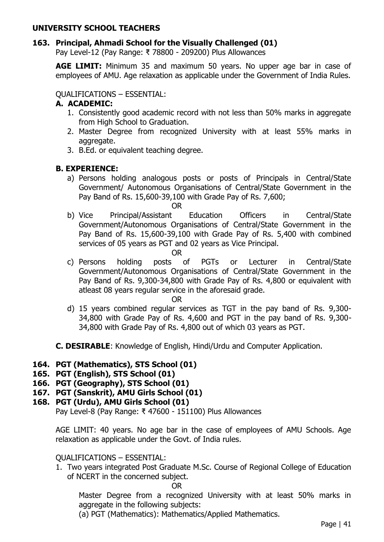## **UNIVERSITY SCHOOL TEACHERS**

## **163. Principal, Ahmadi School for the Visually Challenged (01)**

Pay Level-12 (Pay Range: ₹ 78800 - 209200) Plus Allowances

**AGE LIMIT:** Minimum 35 and maximum 50 years. No upper age bar in case of employees of AMU. Age relaxation as applicable under the Government of India Rules.

QUALIFICATIONS – ESSENTIAL:

## **A. ACADEMIC:**

- 1. Consistently good academic record with not less than 50% marks in aggregate from High School to Graduation.
- 2. Master Degree from recognized University with at least 55% marks in aggregate.
- 3. B.Ed. or equivalent teaching degree.

## **B. EXPERIENCE:**

a) Persons holding analogous posts or posts of Principals in Central/State Government/ Autonomous Organisations of Central/State Government in the Pay Band of Rs. 15,600-39,100 with Grade Pay of Rs. 7,600;

OR

- b) Vice Principal/Assistant Education Officers in Central/State Government/Autonomous Organisations of Central/State Government in the Pay Band of Rs. 15,600-39,100 with Grade Pay of Rs. 5,400 with combined services of 05 years as PGT and 02 years as Vice Principal.
	- OR
- c) Persons holding posts of PGTs or Lecturer in Central/State Government/Autonomous Organisations of Central/State Government in the Pay Band of Rs. 9,300-34,800 with Grade Pay of Rs. 4,800 or equivalent with atleast 08 years regular service in the aforesaid grade.

OR

d) 15 years combined regular services as TGT in the pay band of Rs. 9,300- 34,800 with Grade Pay of Rs. 4,600 and PGT in the pay band of Rs. 9,300- 34,800 with Grade Pay of Rs. 4,800 out of which 03 years as PGT.

**C. DESIRABLE**: Knowledge of English, Hindi/Urdu and Computer Application.

## **164. PGT (Mathematics), STS School (01)**

- **165. PGT (English), STS School (01)**
- **166. PGT (Geography), STS School (01)**
- **167. PGT (Sanskrit), AMU Girls School (01)**
- **168. PGT (Urdu), AMU Girls School (01)**

Pay Level-8 (Pay Range: ₹ 47600 - 151100) Plus Allowances

AGE LIMIT: 40 years. No age bar in the case of employees of AMU Schools. Age relaxation as applicable under the Govt. of India rules.

#### QUALIFICATIONS – ESSENTIAL:

1. Two years integrated Post Graduate M.Sc. Course of Regional College of Education of NCERT in the concerned subject.

OR

Master Degree from a recognized University with at least 50% marks in aggregate in the following subjects:

(a) PGT (Mathematics): Mathematics/Applied Mathematics.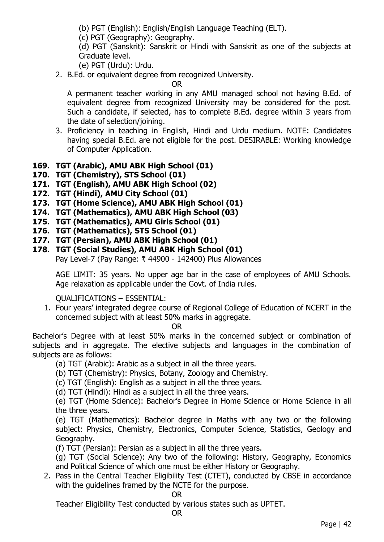(b) PGT (English): English/English Language Teaching (ELT).

(c) PGT (Geography): Geography.

(d) PGT (Sanskrit): Sanskrit or Hindi with Sanskrit as one of the subjects at Graduate level.

(e) PGT (Urdu): Urdu.

2. B.Ed. or equivalent degree from recognized University.

OR

A permanent teacher working in any AMU managed school not having B.Ed. of equivalent degree from recognized University may be considered for the post. Such a candidate, if selected, has to complete B.Ed. degree within 3 years from the date of selection/joining.

3. Proficiency in teaching in English, Hindi and Urdu medium. NOTE: Candidates having special B.Ed. are not eligible for the post. DESIRABLE: Working knowledge of Computer Application.

# **169. TGT (Arabic), AMU ABK High School (01)**

- **170. TGT (Chemistry), STS School (01)**
- **171. TGT (English), AMU ABK High School (02)**
- **172. TGT (Hindi), AMU City School (01)**
- **173. TGT (Home Science), AMU ABK High School (01)**
- **174. TGT (Mathematics), AMU ABK High School (03)**
- **175. TGT (Mathematics), AMU Girls School (01)**
- **176. TGT (Mathematics), STS School (01)**
- **177. TGT (Persian), AMU ABK High School (01)**
- **178. TGT (Social Studies), AMU ABK High School (01)** Pay Level-7 (Pay Range: ₹ 44900 - 142400) Plus Allowances

AGE LIMIT: 35 years. No upper age bar in the case of employees of AMU Schools. Age relaxation as applicable under the Govt. of India rules.

QUALIFICATIONS – ESSENTIAL:

1. Four years' integrated degree course of Regional College of Education of NCERT in the concerned subject with at least 50% marks in aggregate.

OR

Bachelor's Degree with at least 50% marks in the concerned subject or combination of subjects and in aggregate. The elective subjects and languages in the combination of subjects are as follows:

(a) TGT (Arabic): Arabic as a subject in all the three years.

(b) TGT (Chemistry): Physics, Botany, Zoology and Chemistry.

(c) TGT (English): English as a subject in all the three years.

(d) TGT (Hindi): Hindi as a subject in all the three years.

(e) TGT (Home Science): Bachelor's Degree in Home Science or Home Science in all the three years.

(e) TGT (Mathematics): Bachelor degree in Maths with any two or the following subject: Physics, Chemistry, Electronics, Computer Science, Statistics, Geology and Geography.

(f) TGT (Persian): Persian as a subject in all the three years.

(g) TGT (Social Science): Any two of the following: History, Geography, Economics and Political Science of which one must be either History or Geography.

2. Pass in the Central Teacher Eligibility Test (CTET), conducted by CBSE in accordance with the guidelines framed by the NCTE for the purpose.

OR

Teacher Eligibility Test conducted by various states such as UPTET.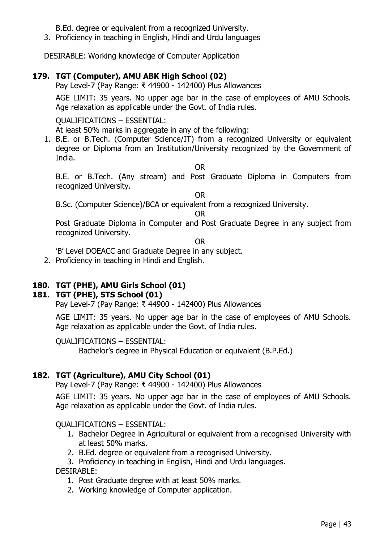B.Ed. degree or equivalent from a recognized University.

3. Proficiency in teaching in English, Hindi and Urdu languages

DESIRABLE: Working knowledge of Computer Application

# **179. TGT (Computer), AMU ABK High School (02)**

Pay Level-7 (Pay Range: ₹ 44900 - 142400) Plus Allowances

AGE LIMIT: 35 years. No upper age bar in the case of employees of AMU Schools. Age relaxation as applicable under the Govt. of India rules.

#### QUALIFICATIONS – ESSENTIAL:

At least 50% marks in aggregate in any of the following:

1. B.E. or B.Tech. (Computer Science/IT) from a recognized University or equivalent degree or Diploma from an Institution/University recognized by the Government of India.

OR

B.E. or B.Tech. (Any stream) and Post Graduate Diploma in Computers from recognized University.

OR

B.Sc. (Computer Science)/BCA or equivalent from a recognized University.

OR

Post Graduate Diploma in Computer and Post Graduate Degree in any subject from recognized University.

OR

'B' Level DOEACC and Graduate Degree in any subject.

2. Proficiency in teaching in Hindi and English.

# **180. TGT (PHE), AMU Girls School (01)**

## **181. TGT (PHE), STS School (01)**

Pay Level-7 (Pay Range: ₹ 44900 - 142400) Plus Allowances

AGE LIMIT: 35 years. No upper age bar in the case of employees of AMU Schools. Age relaxation as applicable under the Govt. of India rules.

#### QUALIFICATIONS – ESSENTIAL:

Bachelor's degree in Physical Education or equivalent (B.P.Ed.)

## **182. TGT (Agriculture), AMU City School (01)**

Pay Level-7 (Pay Range: ₹ 44900 - 142400) Plus Allowances

AGE LIMIT: 35 years. No upper age bar in the case of employees of AMU Schools. Age relaxation as applicable under the Govt. of India rules.

#### QUALIFICATIONS – ESSENTIAL:

- 1. Bachelor Degree in Agricultural or equivalent from a recognised University with at least 50% marks.
- 2. B.Ed. degree or equivalent from a recognised University.
- 3. Proficiency in teaching in English, Hindi and Urdu languages.

DESIRABLE:

- 1. Post Graduate degree with at least 50% marks.
- 2. Working knowledge of Computer application.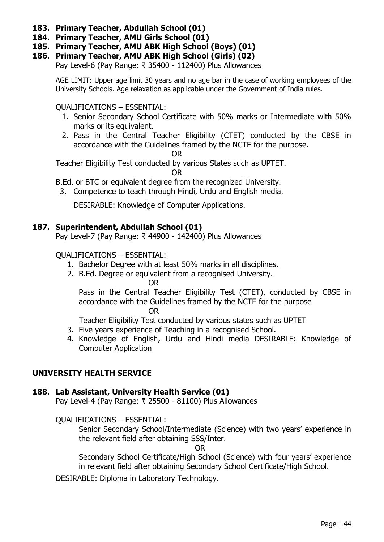- **183. Primary Teacher, Abdullah School (01)**
- **184. Primary Teacher, AMU Girls School (01)**
- **185. Primary Teacher, AMU ABK High School (Boys) (01)**
- **186. Primary Teacher, AMU ABK High School (Girls) (02)**

Pay Level-6 (Pay Range: ₹ 35400 - 112400) Plus Allowances

AGE LIMIT: Upper age limit 30 years and no age bar in the case of working employees of the University Schools. Age relaxation as applicable under the Government of India rules.

QUALIFICATIONS – ESSENTIAL:

- 1. Senior Secondary School Certificate with 50% marks or Intermediate with 50% marks or its equivalent.
- 2. Pass in the Central Teacher Eligibility (CTET) conducted by the CBSE in accordance with the Guidelines framed by the NCTE for the purpose.

OR

Teacher Eligibility Test conducted by various States such as UPTET.

OR

B.Ed. or BTC or equivalent degree from the recognized University.

3. Competence to teach through Hindi, Urdu and English media.

DESIRABLE: Knowledge of Computer Applications.

## **187. Superintendent, Abdullah School (01)**

Pay Level-7 (Pay Range: ₹ 44900 - 142400) Plus Allowances

#### QUALIFICATIONS – ESSENTIAL:

- 1. Bachelor Degree with at least 50% marks in all disciplines.
- 2. B.Ed. Degree or equivalent from a recognised University.

OR

Pass in the Central Teacher Eligibility Test (CTET), conducted by CBSE in accordance with the Guidelines framed by the NCTE for the purpose OR

Teacher Eligibility Test conducted by various states such as UPTET

- 3. Five years experience of Teaching in a recognised School.
- 4. Knowledge of English, Urdu and Hindi media DESIRABLE: Knowledge of Computer Application

## **UNIVERSITY HEALTH SERVICE**

## **188. Lab Assistant, University Health Service (01)**

Pay Level-4 (Pay Range: ₹ 25500 - 81100) Plus Allowances

QUALIFICATIONS – ESSENTIAL:

Senior Secondary School/Intermediate (Science) with two years' experience in the relevant field after obtaining SSS/Inter.

OR

Secondary School Certificate/High School (Science) with four years' experience in relevant field after obtaining Secondary School Certificate/High School.

DESIRABLE: Diploma in Laboratory Technology.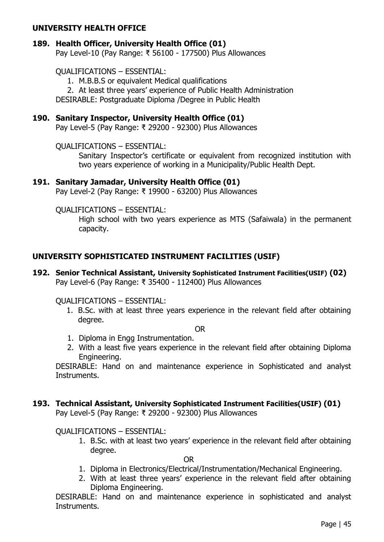#### **UNIVERSITY HEALTH OFFICE**

## **189. Health Officer, University Health Office (01)**

Pay Level-10 (Pay Range: ₹ 56100 - 177500) Plus Allowances

#### QUALIFICATIONS – ESSENTIAL:

1. M.B.B.S or equivalent Medical qualifications

2. At least three years' experience of Public Health Administration

DESIRABLE: Postgraduate Diploma /Degree in Public Health

#### **190. Sanitary Inspector, University Health Office (01)**

Pay Level-5 (Pay Range: ₹ 29200 - 92300) Plus Allowances

QUALIFICATIONS – ESSENTIAL:

Sanitary Inspector's certificate or equivalent from recognized institution with two years experience of working in a Municipality/Public Health Dept.

#### **191. Sanitary Jamadar, University Health Office (01)**

Pay Level-2 (Pay Range: ₹ 19900 - 63200) Plus Allowances

QUALIFICATIONS – ESSENTIAL:

High school with two years experience as MTS (Safaiwala) in the permanent capacity.

## **UNIVERSITY SOPHISTICATED INSTRUMENT FACILITIES (USIF)**

**192. Senior Technical Assistant, University Sophisticated Instrument Facilities(USIF) (02)** Pay Level-6 (Pay Range: ₹ 35400 - 112400) Plus Allowances

QUALIFICATIONS – ESSENTIAL:

1. B.Sc. with at least three years experience in the relevant field after obtaining degree.

OR

- 1. Diploma in Engg Instrumentation.
- 2. With a least five years experience in the relevant field after obtaining Diploma Engineering.

DESIRABLE: Hand on and maintenance experience in Sophisticated and analyst Instruments.

# **193. Technical Assistant, University Sophisticated Instrument Facilities(USIF) (01)**

Pay Level-5 (Pay Range: ₹ 29200 - 92300) Plus Allowances

#### QUALIFICATIONS – ESSENTIAL:

1. B.Sc. with at least two years' experience in the relevant field after obtaining degree.

OR

- 1. Diploma in Electronics/Electrical/Instrumentation/Mechanical Engineering.
- 2. With at least three years' experience in the relevant field after obtaining Diploma Engineering.

DESIRABLE: Hand on and maintenance experience in sophisticated and analyst Instruments.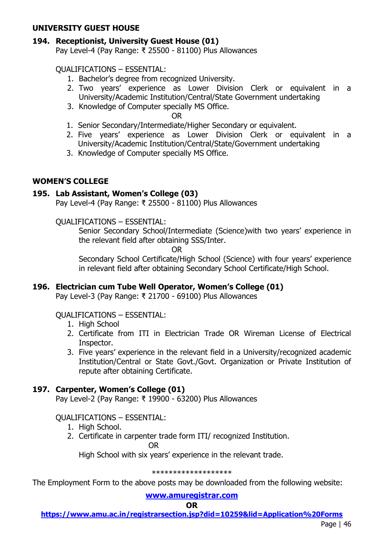#### **UNIVERSITY GUEST HOUSE**

# **194. Receptionist, University Guest House (01)**

Pay Level-4 (Pay Range: ₹ 25500 - 81100) Plus Allowances

# QUALIFICATIONS – ESSENTIAL:

- 1. Bachelor's degree from recognized University.
- 2. Two years' experience as Lower Division Clerk or equivalent in a University/Academic Institution/Central/State Government undertaking
- 3. Knowledge of Computer specially MS Office.

OR

- 1. Senior Secondary/Intermediate/Higher Secondary or equivalent.
- 2. Five years' experience as Lower Division Clerk or equivalent in a University/Academic Institution/Central/State/Government undertaking
- 3. Knowledge of Computer specially MS Office.

# **WOMEN'S COLLEGE**

# **195. Lab Assistant, Women's College (03)**

Pay Level-4 (Pay Range: ₹ 25500 - 81100) Plus Allowances

# QUALIFICATIONS – ESSENTIAL:

Senior Secondary School/Intermediate (Science)with two years' experience in the relevant field after obtaining SSS/Inter.

OR

Secondary School Certificate/High School (Science) with four years' experience in relevant field after obtaining Secondary School Certificate/High School.

## **196. Electrician cum Tube Well Operator, Women's College (01)**

Pay Level-3 (Pay Range: ₹ 21700 - 69100) Plus Allowances

## QUALIFICATIONS – ESSENTIAL:

- 1. High School
- 2. Certificate from ITI in Electrician Trade OR Wireman License of Electrical Inspector.
- 3. Five years' experience in the relevant field in a University/recognized academic Institution/Central or State Govt./Govt. Organization or Private Institution of repute after obtaining Certificate.

# **197. Carpenter, Women's College (01)**

Pay Level-2 (Pay Range: ₹ 19900 - 63200) Plus Allowances

## QUALIFICATIONS – ESSENTIAL:

- 1. High School.
- 2. Certificate in carpenter trade form ITI/ recognized Institution.

OR

High School with six years' experience in the relevant trade.

#### \*\*\*\*\*\*\*\*\*\*\*\*\*\*\*\*\*\*\*

The Employment Form to the above posts may be downloaded from the following website:

## **[www.amuregistrar.com](http://www.amuregistrar.com/)**

#### **OR**

**<https://www.amu.ac.in/registrarsection.jsp?did=10259&lid=Application%20Forms>**